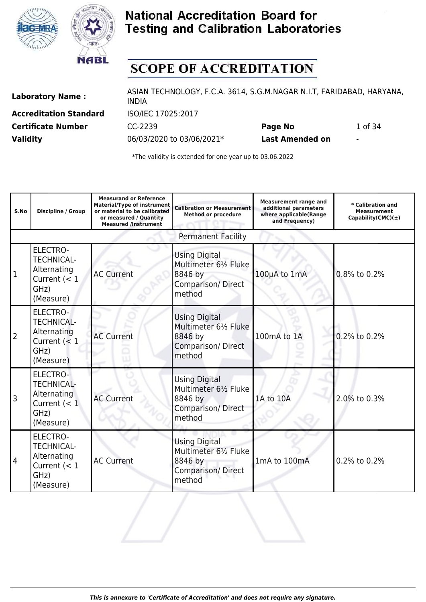



# **SCOPE OF ACCREDITATION**

**Accreditation Standard** ISO/IEC 17025:2017 **Validity** 06/03/2020 to 03/06/2021\* **Last Amended on** -

Laboratory Name : ASIAN TECHNOLOGY, F.C.A. 3614, S.G.M.NAGAR N.I.T, FARIDABAD, HARYANA, INDIA **Certificate Number CC-2239 Page No** 1 of 34

| S.No           | <b>Discipline / Group</b>                                                                  | <b>Measurand or Reference</b><br><b>Material/Type of instrument</b><br>or material to be calibrated<br>or measured / Quantity<br><b>Measured /Instrument</b> | <b>Calibration or Measurement</b><br><b>Method or procedure</b>                                | <b>Measurement range and</b><br>additional parameters<br>where applicable(Range<br>and Frequency) | * Calibration and<br><b>Measurement</b><br>Capability(CMC) $(\pm)$ |
|----------------|--------------------------------------------------------------------------------------------|--------------------------------------------------------------------------------------------------------------------------------------------------------------|------------------------------------------------------------------------------------------------|---------------------------------------------------------------------------------------------------|--------------------------------------------------------------------|
|                |                                                                                            |                                                                                                                                                              | <b>Permanent Facility</b>                                                                      |                                                                                                   |                                                                    |
| $\mathbf{1}$   | <b>ELECTRO-</b><br><b>TECHNICAL-</b><br>Alternating<br>Current $(< 1$<br>GHz)<br>(Measure) | <b>AC Current</b>                                                                                                                                            | <b>Using Digital</b><br>Multimeter 61/2 Fluke<br>8846 by<br><b>Comparison/Direct</b><br>method | 100µA to 1mA                                                                                      | 0.8% to 0.2%                                                       |
| $\overline{2}$ | <b>ELECTRO-</b><br><b>TECHNICAL-</b><br>Alternating<br>Current $(< 1$<br>GHz)<br>(Measure) | <b>AC Current</b>                                                                                                                                            | <b>Using Digital</b><br>Multimeter 61/2 Fluke<br>8846 by<br>Comparison/Direct<br>method        | 100mA to 1A                                                                                       | 0.2% to 0.2%                                                       |
| $\overline{3}$ | <b>ELECTRO-</b><br><b>TECHNICAL-</b><br>Alternating<br>Current $(< 1$<br>GHz)<br>(Measure) | <b>AC Current</b>                                                                                                                                            | <b>Using Digital</b><br>Multimeter 61/2 Fluke<br>8846 by<br>Comparison/Direct<br>method        | 1A to 10A                                                                                         | 2.0% to 0.3%                                                       |
| 4              | <b>ELECTRO-</b><br><b>TECHNICAL-</b><br>Alternating<br>Current $(< 1$<br>GHz)<br>(Measure) | <b>AC Current</b>                                                                                                                                            | <b>Using Digital</b><br>Multimeter 61/2 Fluke<br>8846 by<br>Comparison/Direct<br>method        | 1mA to 100mA                                                                                      | 0.2% to 0.2%                                                       |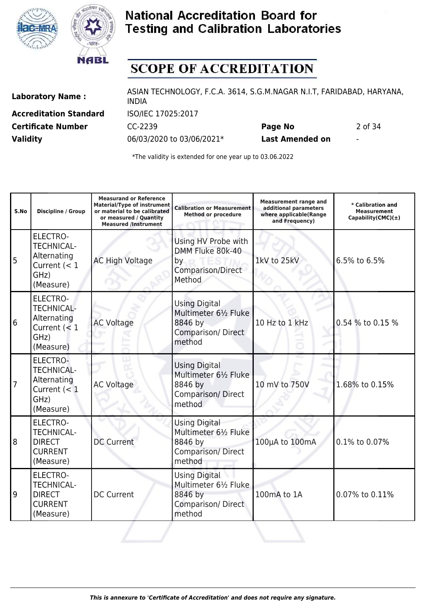



# **SCOPE OF ACCREDITATION**

**Accreditation Standard** ISO/IEC 17025:2017 **Validity** 06/03/2020 to 03/06/2021\* **Last Amended on** -

Laboratory Name : ASIAN TECHNOLOGY, F.C.A. 3614, S.G.M.NAGAR N.I.T, FARIDABAD, HARYANA, INDIA **Certificate Number** CC-2239 **Page No** 2 of 34

| S.No           | <b>Discipline / Group</b>                                                                  | <b>Measurand or Reference</b><br><b>Material/Type of instrument</b><br>or material to be calibrated<br>or measured / Quantity<br><b>Measured /Instrument</b> | <b>Calibration or Measurement</b><br><b>Method or procedure</b>                                | <b>Measurement range and</b><br>additional parameters<br>where applicable(Range<br>and Frequency) | * Calibration and<br><b>Measurement</b><br>Capability(CMC) $(\pm)$ |
|----------------|--------------------------------------------------------------------------------------------|--------------------------------------------------------------------------------------------------------------------------------------------------------------|------------------------------------------------------------------------------------------------|---------------------------------------------------------------------------------------------------|--------------------------------------------------------------------|
| 5              | <b>ELECTRO-</b><br><b>TECHNICAL-</b><br>Alternating<br>Current $(< 1$<br>GHz)<br>(Measure) | <b>AC High Voltage</b>                                                                                                                                       | Using HV Probe with<br>DMM Fluke 80k-40<br>by<br>Comparison/Direct<br>Method                   | 1kV to 25kV                                                                                       | 6.5% to 6.5%                                                       |
| 6              | <b>ELECTRO-</b><br><b>TECHNICAL-</b><br>Alternating<br>Current $(< 1$<br>GHz)<br>(Measure) | <b>AC Voltage</b>                                                                                                                                            | <b>Using Digital</b><br>Multimeter 61/2 Fluke<br>8846 by<br>Comparison/Direct<br>method        | 10 Hz to 1 kHz                                                                                    | 0.54 % to 0.15 %                                                   |
| $\overline{7}$ | ELECTRO-<br><b>TECHNICAL-</b><br>Alternating<br>Current $(< 1$<br>GHz)<br>(Measure)        | <b>AC Voltage</b>                                                                                                                                            | <b>Using Digital</b><br>Multimeter 61/2 Fluke<br>8846 by<br>Comparison/Direct<br>method        | 10 mV to 750V                                                                                     | 1.68% to 0.15%                                                     |
| 8              | <b>ELECTRO-</b><br><b>TECHNICAL-</b><br><b>DIRECT</b><br><b>CURRENT</b><br>(Measure)       | <b>DC Current</b>                                                                                                                                            | <b>Using Digital</b><br>Multimeter 61/2 Fluke<br>8846 by<br>Comparison/Direct<br>method        | 100µA to 100mA                                                                                    | 0.1% to 0.07%                                                      |
| 9              | <b>ELECTRO-</b><br><b>TECHNICAL-</b><br><b>DIRECT</b><br><b>CURRENT</b><br>(Measure)       | <b>DC Current</b>                                                                                                                                            | <b>Using Digital</b><br>Multimeter 61/2 Fluke<br>8846 by<br><b>Comparison/Direct</b><br>method | 100mA to 1A                                                                                       | 0.07% to 0.11%                                                     |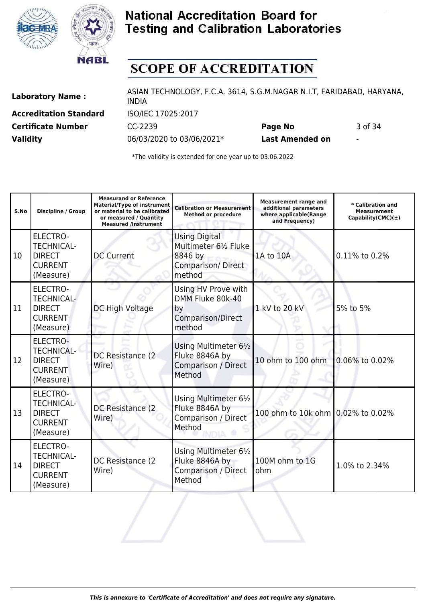



# **SCOPE OF ACCREDITATION**

**Accreditation Standard** ISO/IEC 17025:2017 **Validity** 06/03/2020 to 03/06/2021\* **Last Amended on** -

Laboratory Name : ASIAN TECHNOLOGY, F.C.A. 3614, S.G.M.NAGAR N.I.T, FARIDABAD, HARYANA, INDIA **Certificate Number CC-2239 Page No** 3 of 34

| S.No      | <b>Discipline / Group</b>                                                            | <b>Measurand or Reference</b><br><b>Material/Type of instrument</b><br>or material to be calibrated<br>or measured / Quantity<br><b>Measured /Instrument</b> | <b>Calibration or Measurement</b><br><b>Method or procedure</b>                                | <b>Measurement range and</b><br>additional parameters<br>where applicable(Range<br>and Frequency) | * Calibration and<br><b>Measurement</b><br>Capability(CMC) $(\pm)$ |
|-----------|--------------------------------------------------------------------------------------|--------------------------------------------------------------------------------------------------------------------------------------------------------------|------------------------------------------------------------------------------------------------|---------------------------------------------------------------------------------------------------|--------------------------------------------------------------------|
| 10        | <b>ELECTRO-</b><br><b>TECHNICAL-</b><br><b>DIRECT</b><br><b>CURRENT</b><br>(Measure) | <b>DC Current</b>                                                                                                                                            | <b>Using Digital</b><br>Multimeter 61/2 Fluke<br>8846 by<br><b>Comparison/Direct</b><br>method | 1A to 10A                                                                                         | 0.11% to 0.2%                                                      |
| 11        | <b>ELECTRO-</b><br><b>TECHNICAL-</b><br><b>DIRECT</b><br><b>CURRENT</b><br>(Measure) | DC High Voltage                                                                                                                                              | Using HV Prove with<br>DMM Fluke 80k-40<br>by<br>Comparison/Direct<br>method                   | 1 kV to 20 kV                                                                                     | 5% to 5%                                                           |
| 12        | <b>ELECTRO-</b><br><b>TECHNICAL-</b><br><b>DIRECT</b><br><b>CURRENT</b><br>(Measure) | DC Resistance (2<br>Wire)                                                                                                                                    | Using Multimeter 61/2<br>Fluke 8846A by<br>Comparison / Direct<br>Method                       | 10 ohm to 100 ohm                                                                                 | 0.06% to 0.02%                                                     |
| 13        | <b>ELECTRO-</b><br><b>TECHNICAL-</b><br><b>DIRECT</b><br><b>CURRENT</b><br>(Measure) | DC Resistance (2<br>Wire)                                                                                                                                    | Using Multimeter 61/2<br>Fluke 8846A by<br>Comparison / Direct<br>Method                       | 100 ohm to 10k ohm 0.02% to 0.02%                                                                 |                                                                    |
| <b>14</b> | <b>ELECTRO-</b><br><b>TECHNICAL-</b><br><b>DIRECT</b><br><b>CURRENT</b><br>(Measure) | DC Resistance (2<br>Wire)                                                                                                                                    | Using Multimeter 61/2<br>Fluke 8846A by<br>Comparison / Direct<br>Method                       | 100M ohm to 1G<br>ohm                                                                             | 1.0% to 2.34%                                                      |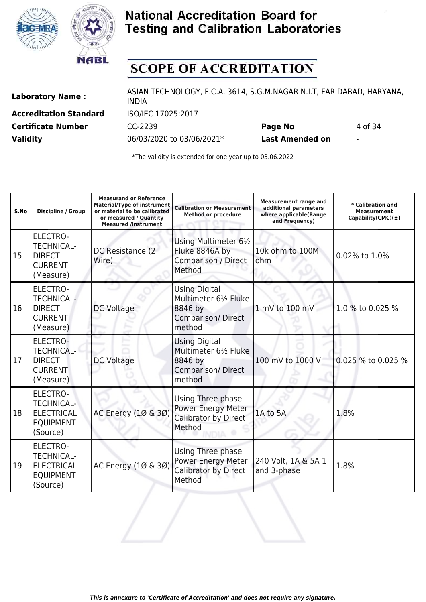



# **SCOPE OF ACCREDITATION**

**Accreditation Standard** ISO/IEC 17025:2017

Laboratory Name : ASIAN TECHNOLOGY, F.C.A. 3614, S.G.M.NAGAR N.I.T, FARIDABAD, HARYANA, INDIA **Certificate Number CC-2239 Page No** 4 of 34

**Validity** 06/03/2020 to 03/06/2021\* **Last Amended on** -

| S.No | Discipline / Group                                                                        | <b>Measurand or Reference</b><br><b>Material/Type of instrument</b><br>or material to be calibrated<br>or measured / Quantity<br><b>Measured /Instrument</b> | <b>Calibration or Measurement</b><br><b>Method or procedure</b>                                | <b>Measurement range and</b><br>additional parameters<br>where applicable(Range<br>and Frequency) | * Calibration and<br><b>Measurement</b><br>Capability(CMC) $(\pm)$ |
|------|-------------------------------------------------------------------------------------------|--------------------------------------------------------------------------------------------------------------------------------------------------------------|------------------------------------------------------------------------------------------------|---------------------------------------------------------------------------------------------------|--------------------------------------------------------------------|
| 15   | <b>ELECTRO-</b><br><b>TECHNICAL-</b><br><b>DIRECT</b><br><b>CURRENT</b><br>(Measure)      | DC Resistance (2)<br>Wire)                                                                                                                                   | Using Multimeter 61/2<br>Fluke 8846A by<br><b>Comparison / Direct</b><br>Method                | 10k ohm to 100M<br>ohm                                                                            | 0.02% to 1.0%                                                      |
| 16   | <b>ELECTRO-</b><br><b>TECHNICAL-</b><br><b>DIRECT</b><br><b>CURRENT</b><br>(Measure)      | DC Voltage                                                                                                                                                   | <b>Using Digital</b><br>Multimeter 61/2 Fluke<br>8846 by<br><b>Comparison/Direct</b><br>method | 1 mV to 100 mV                                                                                    | 1.0 % to 0.025 %                                                   |
| l 17 | <b>ELECTRO-</b><br><b>TECHNICAL-</b><br><b>DIRECT</b><br><b>CURRENT</b><br>(Measure)      | DC Voltage                                                                                                                                                   | <b>Using Digital</b><br>Multimeter 61/2 Fluke<br>8846 by<br>Comparison/Direct<br>method        | 100 mV to 1000 V                                                                                  | 0.025 % to 0.025 %                                                 |
| 18   | <b>ELECTRO-</b><br><b>TECHNICAL-</b><br><b>ELECTRICAL</b><br><b>EQUIPMENT</b><br>(Source) | AC Energy (10 & 30)                                                                                                                                          | Using Three phase<br>Power Energy Meter<br>Calibrator by Direct<br>Method                      | 1A to 5A                                                                                          | 1.8%                                                               |
| 19   | <b>ELECTRO-</b><br><b>TECHNICAL-</b><br><b>ELECTRICAL</b><br><b>EQUIPMENT</b><br>(Source) | AC Energy (10 & 30)                                                                                                                                          | Using Three phase<br>Power Energy Meter<br>Calibrator by Direct<br>Method                      | 240 Volt, 1A & 5A 1<br>and 3-phase                                                                | 1.8%                                                               |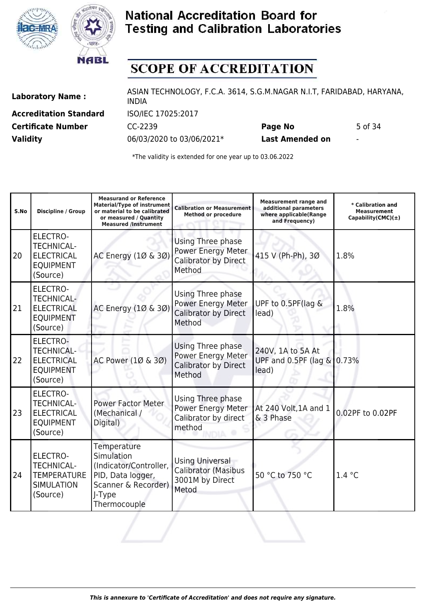



# **SCOPE OF ACCREDITATION**

**Accreditation Standard** ISO/IEC 17025:2017

Laboratory Name : ASIAN TECHNOLOGY, F.C.A. 3614, S.G.M.NAGAR N.I.T, FARIDABAD, HARYANA, INDIA **Certificate Number CC-2239 Page No** 5 of 34

**Validity** 06/03/2020 to 03/06/2021\* **Last Amended on** -

| S.No | <b>Discipline / Group</b>                                                                 | <b>Measurand or Reference</b><br>Material/Type of instrument<br>or material to be calibrated<br>or measured / Quantity<br><b>Measured /Instrument</b> | <b>Calibration or Measurement</b><br><b>Method or procedure</b>                  | <b>Measurement range and</b><br>additional parameters<br>where applicable(Range<br>and Frequency) | * Calibration and<br><b>Measurement</b><br>Capability(CMC) $(\pm)$ |
|------|-------------------------------------------------------------------------------------------|-------------------------------------------------------------------------------------------------------------------------------------------------------|----------------------------------------------------------------------------------|---------------------------------------------------------------------------------------------------|--------------------------------------------------------------------|
| 20   | <b>ELECTRO-</b><br><b>TECHNICAL-</b><br><b>ELECTRICAL</b><br><b>EQUIPMENT</b><br>(Source) | AC Energy (10 & 30)                                                                                                                                   | Using Three phase<br>Power Energy Meter<br><b>Calibrator by Direct</b><br>Method | 415 V (Ph-Ph), 30                                                                                 | 1.8%                                                               |
| 21   | <b>ELECTRO-</b><br><b>TECHNICAL-</b><br><b>ELECTRICAL</b><br><b>EQUIPMENT</b><br>(Source) | AC Energy (10 & 30)                                                                                                                                   | Using Three phase<br>Power Energy Meter<br><b>Calibrator by Direct</b><br>Method | UPF to 0.5PF(lag &<br>lead)                                                                       | 1.8%                                                               |
| 22   | <b>ELECTRO-</b><br><b>TECHNICAL-</b><br><b>ELECTRICAL</b><br><b>EQUIPMENT</b><br>(Source) | AC Power (10 & 30)                                                                                                                                    | Using Three phase<br>Power Energy Meter<br>Calibrator by Direct<br>Method        | 240V, 1A to 5A At<br>UPF and $0.5$ PF (lag & $0.73\%$<br>lead)                                    |                                                                    |
| 23   | <b>ELECTRO-</b><br><b>TECHNICAL-</b><br><b>ELECTRICAL</b><br><b>EQUIPMENT</b><br>(Source) | <b>Power Factor Meter</b><br>(Mechanical /<br>Digital)                                                                                                | Using Three phase<br>Power Energy Meter<br>Calibrator by direct<br>method        | At 240 Volt, 1A and 1<br>& 3 Phase                                                                | 0.02PF to 0.02PF                                                   |
| 24   | ELECTRO-<br><b>TECHNICAL-</b><br><b>TEMPERATURE</b><br><b>SIMULATION</b><br>(Source)      | Temperature<br>Simulation<br>(Indicator/Controller,<br>PID, Data logger,<br>Scanner & Recorder)<br>J-Type<br>Thermocouple                             | <b>Using Universal</b><br>Calibrator (Masibus<br>3001M by Direct<br>Metod        | 50 °C to 750 °C                                                                                   | 1.4 °C                                                             |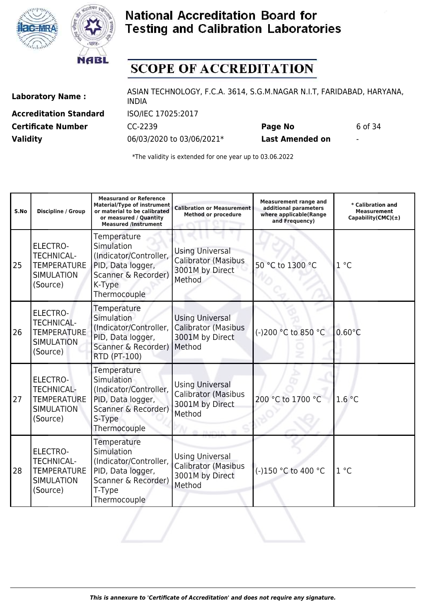



# **SCOPE OF ACCREDITATION**

**Accreditation Standard** ISO/IEC 17025:2017

Laboratory Name : ASIAN TECHNOLOGY, F.C.A. 3614, S.G.M.NAGAR N.I.T, FARIDABAD, HARYANA, INDIA **Certificate Number CC-2239 Page No** 6 of 34

**Validity** 06/03/2020 to 03/06/2021\* **Last Amended on** -

| S.No | Discipline / Group                                                                          | <b>Measurand or Reference</b><br><b>Material/Type of instrument</b><br>or material to be calibrated<br>or measured / Quantity<br><b>Measured /Instrument</b> | <b>Calibration or Measurement</b><br><b>Method or procedure</b>                                     | <b>Measurement range and</b><br>additional parameters<br>where applicable(Range<br>and Frequency) | * Calibration and<br><b>Measurement</b><br>Capability(CMC) $(\pm)$ |
|------|---------------------------------------------------------------------------------------------|--------------------------------------------------------------------------------------------------------------------------------------------------------------|-----------------------------------------------------------------------------------------------------|---------------------------------------------------------------------------------------------------|--------------------------------------------------------------------|
| 25   | <b>ELECTRO-</b><br><b>TECHNICAL-</b><br><b>TEMPERATURE</b><br><b>SIMULATION</b><br>(Source) | Temperature<br>Simulation<br>(Indicator/Controller,<br>PID, Data logger,<br>Scanner & Recorder)<br>K-Type<br>Thermocouple                                    | <b>Using Universal</b><br><b>Calibrator (Masibus</b><br>3001M by Direct<br>Method                   | 50 °C to 1300 °C                                                                                  | 1 °C                                                               |
| 26   | <b>ELECTRO-</b><br><b>TECHNICAL-</b><br><b>TEMPERATURE</b><br><b>SIMULATION</b><br>(Source) | Temperature<br>Simulation<br>(Indicator/Controller,<br>PID, Data logger,<br>Scanner & Recorder)   Method<br>RTD (PT-100)                                     | <b>Using Universal</b><br><b>Calibrator (Masibus</b><br>3001M by Direct                             | (-)200 °C to 850 °C                                                                               | $0.60^{\circ}$ C                                                   |
| 27   | <b>ELECTRO-</b><br><b>TECHNICAL-</b><br><b>TEMPERATURE</b><br><b>SIMULATION</b><br>(Source) | Temperature<br>Simulation<br>(Indicator/Controller,<br>PID, Data logger,<br>Scanner & Recorder)<br>S-Type<br>Thermocouple                                    | <b>Using Universal</b><br><b>Calibrator (Masibus</b><br>3001M by Direct<br>Method<br>THE REPORT FOR | 200 °C to 1700 °C                                                                                 | 1.6 °C                                                             |
| 28   | <b>ELECTRO-</b><br><b>TECHNICAL-</b><br><b>TEMPERATURE</b><br><b>SIMULATION</b><br>(Source) | Temperature<br>Simulation<br>(Indicator/Controller,<br>PID, Data logger,<br>Scanner & Recorder)<br>T-Type<br>Thermocouple                                    | <b>Using Universal</b><br>Calibrator (Masibus<br>3001M by Direct<br>Method                          | (-)150 °C to 400 °C                                                                               | $1^{\circ}$ C                                                      |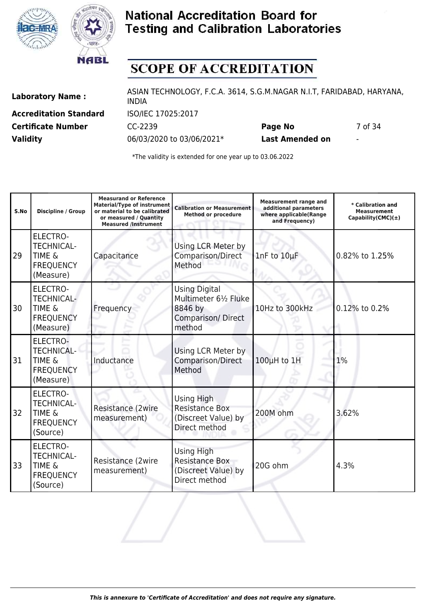



# **SCOPE OF ACCREDITATION**

**Accreditation Standard** ISO/IEC 17025:2017

Laboratory Name : ASIAN TECHNOLOGY, F.C.A. 3614, S.G.M.NAGAR N.I.T, FARIDABAD, HARYANA, INDIA **Certificate Number CC-2239 Page No** 7 of 34

**Validity** 06/03/2020 to 03/06/2021\* **Last Amended on** -

| S.No | <b>Discipline / Group</b>                                                                  | <b>Measurand or Reference</b><br><b>Material/Type of instrument</b><br>or material to be calibrated<br>or measured / Quantity<br><b>Measured /Instrument</b> | <b>Calibration or Measurement</b><br><b>Method or procedure</b>                                | <b>Measurement range and</b><br>additional parameters<br>where applicable(Range<br>and Frequency) | * Calibration and<br><b>Measurement</b><br>Capability(CMC) $(\pm)$ |
|------|--------------------------------------------------------------------------------------------|--------------------------------------------------------------------------------------------------------------------------------------------------------------|------------------------------------------------------------------------------------------------|---------------------------------------------------------------------------------------------------|--------------------------------------------------------------------|
| 29   | <b>ELECTRO-</b><br><b>TECHNICAL-</b><br><b>TIME &amp;</b><br><b>FREQUENCY</b><br>(Measure) | Capacitance                                                                                                                                                  | Using LCR Meter by<br>Comparison/Direct<br>Method                                              | 1nF to 10µF                                                                                       | 0.82% to 1.25%                                                     |
| 30   | ELECTRO-<br><b>TECHNICAL-</b><br><b>TIME &amp;</b><br><b>FREQUENCY</b><br>(Measure)        | Frequency                                                                                                                                                    | <b>Using Digital</b><br>Multimeter 61/2 Fluke<br>8846 by<br><b>Comparison/Direct</b><br>method | 10Hz to 300kHz                                                                                    | 0.12% to 0.2%                                                      |
| 31   | <b>ELECTRO-</b><br><b>TECHNICAL-</b><br><b>TIME &amp;</b><br><b>FREQUENCY</b><br>(Measure) | Inductance                                                                                                                                                   | Using LCR Meter by<br>Comparison/Direct<br>Method                                              | $100\mu H$ to $1H$                                                                                | 1%                                                                 |
| 32   | <b>ELECTRO-</b><br><b>TECHNICAL-</b><br><b>TIME &amp;</b><br><b>FREQUENCY</b><br>(Source)  | Resistance (2wire<br>measurement)                                                                                                                            | Using High<br><b>Resistance Box</b><br>(Discreet Value) by<br>Direct method                    | 200M ohm                                                                                          | 3.62%                                                              |
| 33   | <b>ELECTRO-</b><br><b>TECHNICAL-</b><br><b>TIME &amp;</b><br><b>FREQUENCY</b><br>(Source)  | Resistance (2wire<br>measurement)                                                                                                                            | <b>Using High</b><br><b>Resistance Box</b><br>(Discreet Value) by<br>Direct method             | 20G ohm                                                                                           | 4.3%                                                               |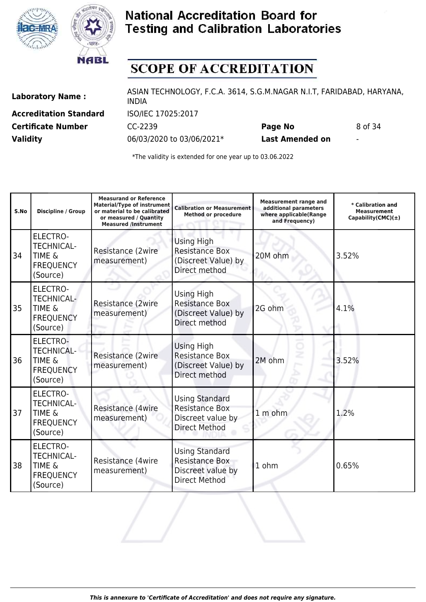



# **SCOPE OF ACCREDITATION**

**Accreditation Standard** ISO/IEC 17025:2017

Laboratory Name : ASIAN TECHNOLOGY, F.C.A. 3614, S.G.M.NAGAR N.I.T, FARIDABAD, HARYANA, INDIA **Certificate Number CC-2239 Page No** 8 of 34

**Validity** 06/03/2020 to 03/06/2021\* **Last Amended on** -

| S.No | Discipline / Group                                                                        | <b>Measurand or Reference</b><br><b>Material/Type of instrument</b><br>or material to be calibrated<br>or measured / Quantity<br><b>Measured /Instrument</b> | <b>Calibration or Measurement</b><br><b>Method or procedure</b>                             | <b>Measurement range and</b><br>additional parameters<br>where applicable(Range<br>and Frequency) | * Calibration and<br>Measurement<br>Capability(CMC) $(\pm)$ |
|------|-------------------------------------------------------------------------------------------|--------------------------------------------------------------------------------------------------------------------------------------------------------------|---------------------------------------------------------------------------------------------|---------------------------------------------------------------------------------------------------|-------------------------------------------------------------|
| 34   | <b>ELECTRO-</b><br><b>TECHNICAL-</b><br><b>TIME &amp;</b><br><b>FREQUENCY</b><br>(Source) | Resistance (2wire<br>measurement)                                                                                                                            | <b>Using High</b><br><b>Resistance Box</b><br>(Discreet Value) by<br>Direct method          | 20M ohm                                                                                           | 3.52%                                                       |
| 35   | <b>ELECTRO-</b><br><b>TECHNICAL-</b><br><b>TIME &amp;</b><br><b>FREQUENCY</b><br>(Source) | Resistance (2wire<br>measurement)                                                                                                                            | <b>Using High</b><br><b>Resistance Box</b><br>(Discreet Value) by<br>Direct method          | 2G ohm                                                                                            | 4.1%                                                        |
| 36   | <b>ELECTRO-</b><br><b>TECHNICAL-</b><br><b>TIME &amp;</b><br><b>FREQUENCY</b><br>(Source) | Resistance (2wire<br>measurement)                                                                                                                            | <b>Using High</b><br><b>Resistance Box</b><br>(Discreet Value) by<br>Direct method          | 2M ohm                                                                                            | 3.52%                                                       |
| 37   | <b>ELECTRO-</b><br><b>TECHNICAL-</b><br><b>TIME &amp;</b><br><b>FREQUENCY</b><br>(Source) | Resistance (4wire<br>measurement)                                                                                                                            | <b>Using Standard</b><br><b>Resistance Box</b><br>Discreet value by<br><b>Direct Method</b> | 1 m ohm                                                                                           | 1.2%                                                        |
| 38   | <b>ELECTRO-</b><br><b>TECHNICAL-</b><br><b>TIME &amp;</b><br><b>FREQUENCY</b><br>(Source) | Resistance (4wire<br>measurement)                                                                                                                            | <b>Using Standard</b><br><b>Resistance Box</b><br>Discreet value by<br><b>Direct Method</b> | 1 ohm                                                                                             | 0.65%                                                       |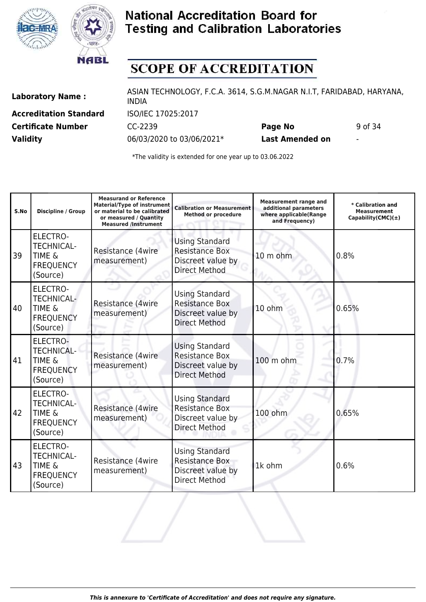



# **SCOPE OF ACCREDITATION**

**Accreditation Standard** ISO/IEC 17025:2017

Laboratory Name : ASIAN TECHNOLOGY, F.C.A. 3614, S.G.M.NAGAR N.I.T, FARIDABAD, HARYANA, INDIA **Certificate Number CC-2239 Page No** 9 of 34

**Validity** 06/03/2020 to 03/06/2021\* **Last Amended on** -

| S.No | Discipline / Group                                                                        | <b>Measurand or Reference</b><br><b>Material/Type of instrument</b><br>or material to be calibrated<br>or measured / Quantity<br><b>Measured /Instrument</b> | <b>Calibration or Measurement</b><br><b>Method or procedure</b>                             | <b>Measurement range and</b><br>additional parameters<br>where applicable(Range<br>and Frequency) | * Calibration and<br><b>Measurement</b><br>Capability(CMC) $(\pm)$ |
|------|-------------------------------------------------------------------------------------------|--------------------------------------------------------------------------------------------------------------------------------------------------------------|---------------------------------------------------------------------------------------------|---------------------------------------------------------------------------------------------------|--------------------------------------------------------------------|
| 39   | <b>ELECTRO-</b><br><b>TECHNICAL-</b><br><b>TIME &amp;</b><br><b>FREQUENCY</b><br>(Source) | Resistance (4wire<br>measurement)                                                                                                                            | <b>Using Standard</b><br><b>Resistance Box</b><br>Discreet value by<br><b>Direct Method</b> | 10 m ohm                                                                                          | 0.8%                                                               |
| 40   | <b>ELECTRO-</b><br><b>TECHNICAL-</b><br>TIME &<br><b>FREQUENCY</b><br>(Source)            | Resistance (4wire<br>measurement)                                                                                                                            | <b>Using Standard</b><br><b>Resistance Box</b><br>Discreet value by<br><b>Direct Method</b> | 10 ohm                                                                                            | 0.65%                                                              |
| 41   | <b>ELECTRO-</b><br><b>TECHNICAL-</b><br><b>TIME &amp;</b><br><b>FREQUENCY</b><br>(Source) | Resistance (4wire<br>measurement)                                                                                                                            | <b>Using Standard</b><br><b>Resistance Box</b><br>Discreet value by<br><b>Direct Method</b> | 100 m ohm                                                                                         | 0.7%                                                               |
| 42   | <b>ELECTRO-</b><br><b>TECHNICAL-</b><br><b>TIME &amp;</b><br><b>FREQUENCY</b><br>(Source) | Resistance (4wire<br>measurement)                                                                                                                            | <b>Using Standard</b><br><b>Resistance Box</b><br>Discreet value by<br><b>Direct Method</b> | 100 ohm                                                                                           | 0.65%                                                              |
| 43   | <b>ELECTRO-</b><br><b>TECHNICAL-</b><br><b>TIME &amp;</b><br><b>FREQUENCY</b><br>(Source) | Resistance (4wire<br>measurement)                                                                                                                            | <b>Using Standard</b><br><b>Resistance Box</b><br>Discreet value by<br><b>Direct Method</b> | 1k ohm                                                                                            | 0.6%                                                               |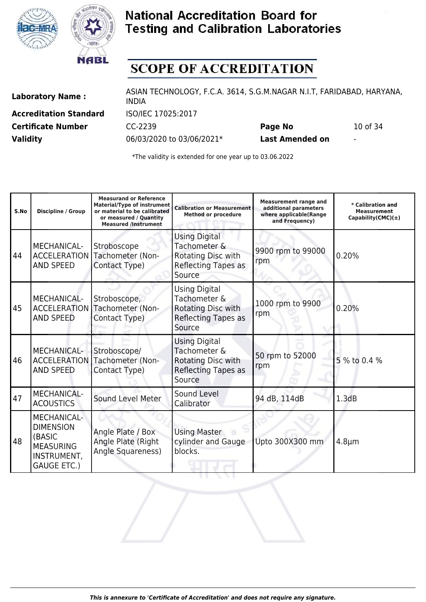



# **SCOPE OF ACCREDITATION**

**Accreditation Standard** ISO/IEC 17025:2017

Laboratory Name : ASIAN TECHNOLOGY, F.C.A. 3614, S.G.M.NAGAR N.I.T, FARIDABAD, HARYANA, INDIA **Certificate Number** CC-2239 **Page No** 10 of 34

**Validity** 06/03/2020 to 03/06/2021\* **Last Amended on** -

\*The validity is extended for one year up to 03.06.2022

| S.No | Discipline / Group                                                                                 | <b>Measurand or Reference</b><br><b>Material/Type of instrument</b><br>or material to be calibrated<br>or measured / Quantity<br><b>Measured /Instrument</b> | <b>Calibration or Measurement</b><br><b>Method or procedure</b>                             | <b>Measurement range and</b><br>additional parameters<br>where applicable(Range<br>and Frequency) | * Calibration and<br><b>Measurement</b><br>Capability(CMC) $(\pm)$ |
|------|----------------------------------------------------------------------------------------------------|--------------------------------------------------------------------------------------------------------------------------------------------------------------|---------------------------------------------------------------------------------------------|---------------------------------------------------------------------------------------------------|--------------------------------------------------------------------|
| 44   | <b>MECHANICAL-</b><br><b>ACCELERATION</b><br><b>AND SPEED</b>                                      | Stroboscope<br>Tachometer (Non-<br>Contact Type)                                                                                                             | <b>Using Digital</b><br>Tachometer &<br>Rotating Disc with<br>Reflecting Tapes as<br>Source | 9900 rpm to 99000<br>rpm                                                                          | 0.20%                                                              |
| 45   | <b>MECHANICAL-</b><br><b>ACCELERATION</b><br><b>AND SPEED</b>                                      | Stroboscope,<br>Tachometer (Non-<br>Contact Type)                                                                                                            | <b>Using Digital</b><br>Tachometer &<br>Rotating Disc with<br>Reflecting Tapes as<br>Source | 1000 rpm to 9900<br>rpm                                                                           | 0.20%                                                              |
| 46   | MECHANICAL-<br><b>ACCELERATION</b><br><b>AND SPEED</b>                                             | Stroboscope/<br>Tachometer (Non-<br>Contact Type)                                                                                                            | <b>Using Digital</b><br>Tachometer &<br>Rotating Disc with<br>Reflecting Tapes as<br>Source | 50 rpm to 52000<br>rpm                                                                            | 5 % to 0.4 %                                                       |
| 47   | MECHANICAL-<br><b>ACOUSTICS</b>                                                                    | <b>Sound Level Meter</b>                                                                                                                                     | Sound Level<br>Calibrator                                                                   | 94 dB, 114dB                                                                                      | 1.3dB                                                              |
| 48   | MECHANICAL-<br><b>DIMENSION</b><br>(BASIC<br><b>MEASURING</b><br>INSTRUMENT,<br><b>GAUGE ETC.)</b> | Angle Plate / Box<br>Angle Plate (Right<br>Angle Squareness)                                                                                                 | <b>Using Master</b><br>cylinder and Gauge<br>blocks.                                        | Upto 300X300 mm                                                                                   | $4.8 \mu m$                                                        |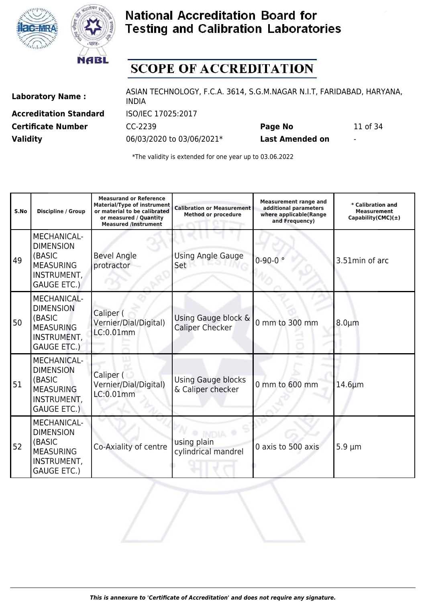



# **SCOPE OF ACCREDITATION**

**Accreditation Standard** ISO/IEC 17025:2017

Laboratory Name : ASIAN TECHNOLOGY, F.C.A. 3614, S.G.M.NAGAR N.I.T, FARIDABAD, HARYANA, INDIA **Certificate Number** CC-2239 **Page No** 11 of 34

**Validity** 06/03/2020 to 03/06/2021\* **Last Amended on** -

| S.No | Discipline / Group                                                                                        | <b>Measurand or Reference</b><br><b>Material/Type of instrument</b><br>or material to be calibrated<br>or measured / Quantity<br><b>Measured /Instrument</b> | <b>Calibration or Measurement</b><br><b>Method or procedure</b> | <b>Measurement range and</b><br>additional parameters<br>where applicable(Range<br>and Frequency) | * Calibration and<br><b>Measurement</b><br>Capability(CMC) $(\pm)$ |
|------|-----------------------------------------------------------------------------------------------------------|--------------------------------------------------------------------------------------------------------------------------------------------------------------|-----------------------------------------------------------------|---------------------------------------------------------------------------------------------------|--------------------------------------------------------------------|
| 49   | <b>MECHANICAL-</b><br><b>DIMENSION</b><br>(BASIC<br><b>MEASURING</b><br>INSTRUMENT,<br><b>GAUGE ETC.)</b> | <b>Bevel Angle</b><br>protractor                                                                                                                             | <b>Using Angle Gauge</b><br>Set                                 | $0 - 90 - 0$                                                                                      | 3.51min of arc                                                     |
| 50   | <b>MECHANICAL-</b><br><b>DIMENSION</b><br>(BASIC<br><b>MEASURING</b><br>INSTRUMENT,<br><b>GAUGE ETC.)</b> | Caliper (<br>Vernier/Dial/Digital)<br>LC:0.01mm                                                                                                              | Using Gauge block &<br><b>Caliper Checker</b>                   | 0 mm to 300 mm                                                                                    | $8.0 \mu m$                                                        |
| 51   | MECHANICAL-<br><b>DIMENSION</b><br>(BASIC<br><b>MEASURING</b><br>INSTRUMENT,<br><b>GAUGE ETC.)</b>        | Caliper (<br>Vernier/Dial/Digital)<br>LC:0.01mm                                                                                                              | <b>Using Gauge blocks</b><br>& Caliper checker                  | 0 mm to 600 mm                                                                                    | $14.6 \mu m$                                                       |
| 52   | MECHANICAL-<br><b>DIMENSION</b><br>(BASIC<br><b>MEASURING</b><br>INSTRUMENT,<br><b>GAUGE ETC.)</b>        | Co-Axiality of centre                                                                                                                                        | using plain<br>cylindrical mandrel                              | 0 axis to 500 axis                                                                                | $5.9 \mu m$                                                        |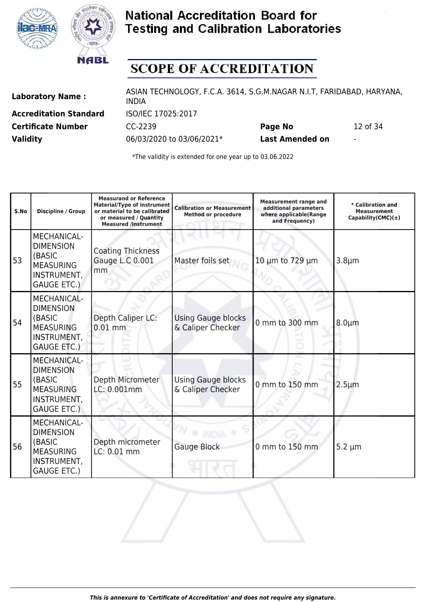



# **SCOPE OF ACCREDITATION**

**Accreditation Standard** ISO/IEC 17025:2017

Laboratory Name : ASIAN TECHNOLOGY, F.C.A. 3614, S.G.M.NAGAR N.I.T, FARIDABAD, HARYANA, INDIA **Certificate Number** CC-2239 **Page No** 12 of 34

**Validity** 06/03/2020 to 03/06/2021\* **Last Amended on** -

| S.No | Discipline / Group                                                                                        | <b>Measurand or Reference</b><br><b>Material/Type of instrument</b><br>or material to be calibrated<br>or measured / Quantity<br><b>Measured /Instrument</b> | <b>Calibration or Measurement</b><br><b>Method or procedure</b> | <b>Measurement range and</b><br>additional parameters<br>where applicable(Range<br>and Frequency) | * Calibration and<br><b>Measurement</b><br>Capability(CMC) $(±)$ |
|------|-----------------------------------------------------------------------------------------------------------|--------------------------------------------------------------------------------------------------------------------------------------------------------------|-----------------------------------------------------------------|---------------------------------------------------------------------------------------------------|------------------------------------------------------------------|
| 53   | MECHANICAL-<br><b>DIMENSION</b><br>(BASIC<br><b>MEASURING</b><br>INSTRUMENT,<br><b>GAUGE ETC.)</b>        | <b>Coating Thickness</b><br>Gauge L.C 0.001<br>mm                                                                                                            | Master foils set                                                | 10 µm to 729 µm                                                                                   | $3.8 \mu m$                                                      |
| 54   | <b>MECHANICAL-</b><br><b>DIMENSION</b><br>(BASIC<br><b>MEASURING</b><br>INSTRUMENT,<br><b>GAUGE ETC.)</b> | Depth Caliper LC:<br>$0.01$ mm                                                                                                                               | <b>Using Gauge blocks</b><br>& Caliper Checker                  | 0 mm to 300 mm                                                                                    | $8.0 \mu m$                                                      |
| 55   | <b>MECHANICAL-</b><br><b>DIMENSION</b><br>(BASIC<br><b>MEASURING</b><br>INSTRUMENT,<br><b>GAUGE ETC.)</b> | Depth Micrometer<br>LC: 0.001mm                                                                                                                              | <b>Using Gauge blocks</b><br>& Caliper Checker                  | 0 mm to 150 mm                                                                                    | $2.5 \mu m$                                                      |
| 56   | MECHANICAL-<br><b>DIMENSION</b><br>(BASIC<br><b>MEASURING</b><br>INSTRUMENT,<br><b>GAUGE ETC.)</b>        | Depth micrometer<br>LC: 0.01 mm                                                                                                                              | Gauge Block                                                     | 0 mm to 150 mm                                                                                    | $5.2 \mu m$                                                      |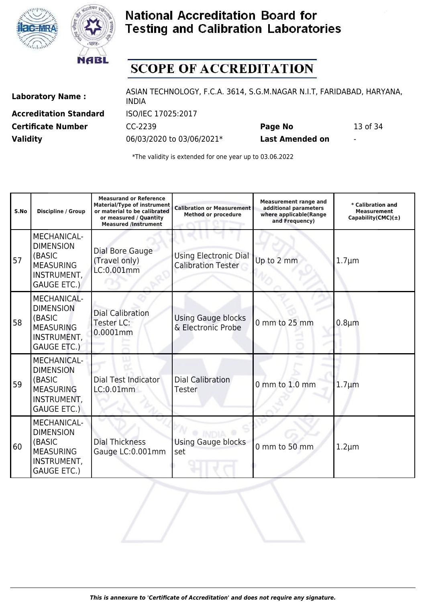



# **SCOPE OF ACCREDITATION**

**Accreditation Standard** ISO/IEC 17025:2017

Laboratory Name : ASIAN TECHNOLOGY, F.C.A. 3614, S.G.M.NAGAR N.I.T, FARIDABAD, HARYANA, INDIA **Certificate Number** CC-2239 **Page No** 13 of 34

**Validity** 06/03/2020 to 03/06/2021\* **Last Amended on** -

| S.No | <b>Discipline / Group</b>                                                                                 | <b>Measurand or Reference</b><br><b>Material/Type of instrument</b><br>or material to be calibrated<br>or measured / Quantity<br><b>Measured /Instrument</b> | <b>Calibration or Measurement</b><br><b>Method or procedure</b> | <b>Measurement range and</b><br>additional parameters<br>where applicable(Range<br>and Frequency) | * Calibration and<br><b>Measurement</b><br>Capability(CMC) $(\pm)$ |
|------|-----------------------------------------------------------------------------------------------------------|--------------------------------------------------------------------------------------------------------------------------------------------------------------|-----------------------------------------------------------------|---------------------------------------------------------------------------------------------------|--------------------------------------------------------------------|
| 57   | MECHANICAL-<br><b>DIMENSION</b><br>(BASIC<br><b>MEASURING</b><br>INSTRUMENT,<br><b>GAUGE ETC.)</b>        | Dial Bore Gauge<br>(Travel only)<br>LC:0.001mm                                                                                                               | <b>Using Electronic Dial</b><br><b>Calibration Tester</b>       | Up to 2 mm                                                                                        | $1.7 \mu m$                                                        |
| 58   | <b>MECHANICAL-</b><br><b>DIMENSION</b><br>(BASIC<br><b>MEASURING</b><br>INSTRUMENT,<br><b>GAUGE ETC.)</b> | <b>Dial Calibration</b><br>Tester LC:<br>$0.0001$ mm                                                                                                         | <b>Using Gauge blocks</b><br>& Electronic Probe                 | 0 mm to 25 mm                                                                                     | $0.8 \mu m$                                                        |
| 59   | MECHANICAL-<br><b>DIMENSION</b><br>(BASIC<br><b>MEASURING</b><br>INSTRUMENT,<br><b>GAUGE ETC.)</b>        | Dial Test Indicator<br>LC:0.01mm                                                                                                                             | Dial Calibration<br><b>Tester</b>                               | 0 mm to 1.0 mm                                                                                    | $1.7 \mu m$                                                        |
| 60   | <b>MECHANICAL-</b><br><b>DIMENSION</b><br>(BASIC<br><b>MEASURING</b><br>INSTRUMENT,<br><b>GAUGE ETC.)</b> | <b>Dial Thickness</b><br>Gauge LC:0.001mm                                                                                                                    | <b>Using Gauge blocks</b><br>set                                | 0 mm to 50 mm                                                                                     | $1.2 \mu m$                                                        |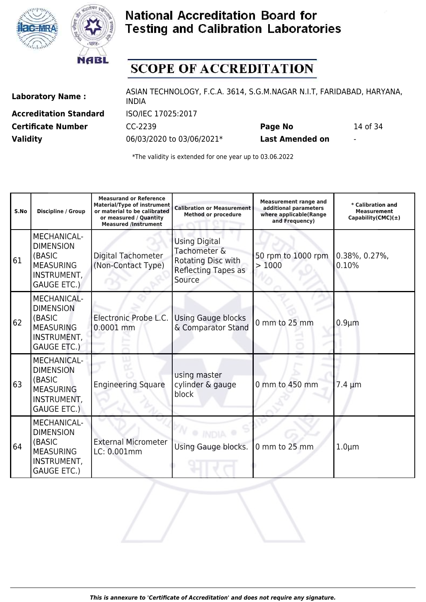



# **SCOPE OF ACCREDITATION**

**Accreditation Standard** ISO/IEC 17025:2017

Laboratory Name : ASIAN TECHNOLOGY, F.C.A. 3614, S.G.M.NAGAR N.I.T, FARIDABAD, HARYANA, INDIA **Certificate Number** CC-2239 **Page No** 14 of 34

**Validity** 06/03/2020 to 03/06/2021\* **Last Amended on** -

| S.No | <b>Discipline / Group</b>                                                                                 | <b>Measurand or Reference</b><br><b>Material/Type of instrument</b><br>or material to be calibrated<br>or measured / Quantity<br><b>Measured /Instrument</b> | <b>Calibration or Measurement</b><br><b>Method or procedure</b>                             | <b>Measurement range and</b><br>additional parameters<br>where applicable(Range<br>and Frequency) | * Calibration and<br><b>Measurement</b><br>Capability(CMC) $(\pm)$ |
|------|-----------------------------------------------------------------------------------------------------------|--------------------------------------------------------------------------------------------------------------------------------------------------------------|---------------------------------------------------------------------------------------------|---------------------------------------------------------------------------------------------------|--------------------------------------------------------------------|
| 61   | MECHANICAL-<br><b>DIMENSION</b><br>(BASIC<br><b>MEASURING</b><br>INSTRUMENT,<br><b>GAUGE ETC.)</b>        | <b>Digital Tachometer</b><br>(Non-Contact Type)                                                                                                              | <b>Using Digital</b><br>Tachometer &<br>Rotating Disc with<br>Reflecting Tapes as<br>Source | 50 rpm to 1000 rpm<br>>1000                                                                       | $0.38\%$ , 0.27%,<br>0.10%                                         |
| 62   | <b>MECHANICAL-</b><br><b>DIMENSION</b><br>(BASIC<br><b>MEASURING</b><br>INSTRUMENT,<br><b>GAUGE ETC.)</b> | Electronic Probe L.C.<br>0.0001 mm                                                                                                                           | <b>Using Gauge blocks</b><br>& Comparator Stand                                             | 0 mm to 25 mm                                                                                     | $0.9 \mu m$                                                        |
| 63   | MECHANICAL-<br><b>DIMENSION</b><br>(BASIC<br><b>MEASURING</b><br>INSTRUMENT,<br><b>GAUGE ETC.)</b>        | <b>Engineering Square</b>                                                                                                                                    | using master<br>cylinder & gauge<br>block                                                   | 0 mm to 450 mm                                                                                    | $7.4 \mu m$                                                        |
| 64   | MECHANICAL-<br><b>DIMENSION</b><br>(BASIC<br><b>MEASURING</b><br>INSTRUMENT,<br><b>GAUGE ETC.)</b>        | <b>External Micrometer</b><br>LC: 0.001mm                                                                                                                    | Using Gauge blocks.                                                                         | 0 mm to 25 mm                                                                                     | $1.0 \mu m$                                                        |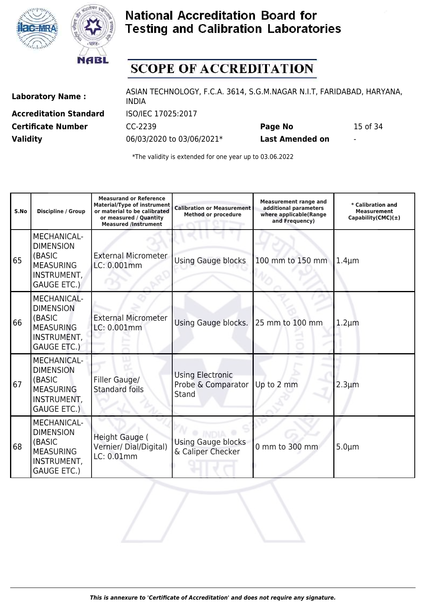



# **SCOPE OF ACCREDITATION**

**Accreditation Standard** ISO/IEC 17025:2017

Laboratory Name : ASIAN TECHNOLOGY, F.C.A. 3614, S.G.M.NAGAR N.I.T, FARIDABAD, HARYANA, INDIA **Certificate Number** CC-2239 **Page No** 15 of 34

**Validity** 06/03/2020 to 03/06/2021\* **Last Amended on** -

| S.No | <b>Discipline / Group</b>                                                                                 | <b>Measurand or Reference</b><br><b>Material/Type of instrument</b><br>or material to be calibrated<br>or measured / Quantity<br><b>Measured /Instrument</b> | <b>Calibration or Measurement</b><br><b>Method or procedure</b> | <b>Measurement range and</b><br>additional parameters<br>where applicable(Range<br>and Frequency) | * Calibration and<br><b>Measurement</b><br>Capability(CMC) $(\pm)$ |
|------|-----------------------------------------------------------------------------------------------------------|--------------------------------------------------------------------------------------------------------------------------------------------------------------|-----------------------------------------------------------------|---------------------------------------------------------------------------------------------------|--------------------------------------------------------------------|
| 65   | MECHANICAL-<br><b>DIMENSION</b><br>(BASIC<br><b>MEASURING</b><br>INSTRUMENT,<br><b>GAUGE ETC.)</b>        | <b>External Micrometer</b><br>LC: 0.001mm                                                                                                                    | <b>Using Gauge blocks</b>                                       | 100 mm to 150 mm                                                                                  | $1.4 \mu m$                                                        |
| 66   | <b>MECHANICAL-</b><br><b>DIMENSION</b><br>(BASIC<br><b>MEASURING</b><br>INSTRUMENT,<br><b>GAUGE ETC.)</b> | <b>External Micrometer</b><br>LC: 0.001mm                                                                                                                    | Using Gauge blocks.                                             | 25 mm to 100 mm                                                                                   | $1.2 \mu m$                                                        |
| 67   | MECHANICAL-<br><b>DIMENSION</b><br>(BASIC<br><b>MEASURING</b><br>INSTRUMENT,<br><b>GAUGE ETC.)</b>        | Filler Gauge/<br><b>Standard foils</b>                                                                                                                       | Using Electronic<br>Probe & Comparator<br>Stand                 | Up to 2 mm                                                                                        | $2.3 \mu m$                                                        |
| 68   | <b>MECHANICAL-</b><br><b>DIMENSION</b><br>(BASIC<br><b>MEASURING</b><br>INSTRUMENT,<br><b>GAUGE ETC.)</b> | <b>Height Gauge (</b><br>Vernier/ Dial/Digital)<br>LC: 0.01mm                                                                                                | <b>Using Gauge blocks</b><br>& Caliper Checker                  | 0 mm to 300 mm                                                                                    | $5.0 \mu m$                                                        |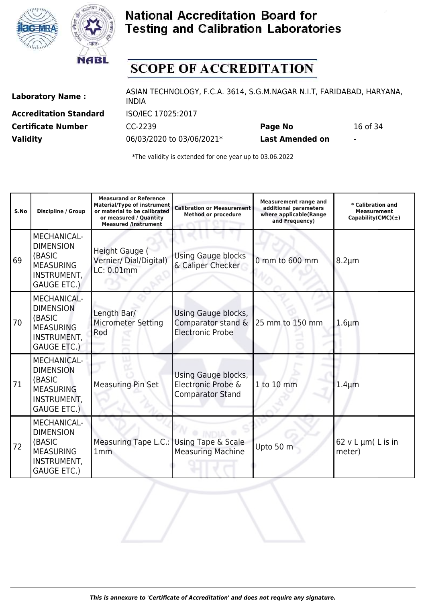



# **SCOPE OF ACCREDITATION**

**Accreditation Standard** ISO/IEC 17025:2017

Laboratory Name : ASIAN TECHNOLOGY, F.C.A. 3614, S.G.M.NAGAR N.I.T, FARIDABAD, HARYANA, INDIA **Certificate Number** CC-2239 **Page No** 16 of 34

**Validity** 06/03/2020 to 03/06/2021\* **Last Amended on** -

| S.No | Discipline / Group                                                                                        | <b>Measurand or Reference</b><br><b>Material/Type of instrument</b><br>or material to be calibrated<br>or measured / Quantity<br><b>Measured /Instrument</b> | <b>Calibration or Measurement</b><br><b>Method or procedure</b>      | <b>Measurement range and</b><br>additional parameters<br>where applicable(Range<br>and Frequency) | * Calibration and<br><b>Measurement</b><br>Capability(CMC) $(\pm)$ |
|------|-----------------------------------------------------------------------------------------------------------|--------------------------------------------------------------------------------------------------------------------------------------------------------------|----------------------------------------------------------------------|---------------------------------------------------------------------------------------------------|--------------------------------------------------------------------|
| 69   | <b>MECHANICAL-</b><br><b>DIMENSION</b><br>(BASIC<br><b>MEASURING</b><br>INSTRUMENT,<br><b>GAUGE ETC.)</b> | Height Gauge (<br>Vernier/ Dial/Digital)<br>LC: 0.01mm                                                                                                       | <b>Using Gauge blocks</b><br>& Caliper Checker                       | 0 mm to 600 mm                                                                                    | $8.2 \mu m$                                                        |
| 70   | <b>MECHANICAL-</b><br><b>DIMENSION</b><br>(BASIC<br><b>MEASURING</b><br>INSTRUMENT,<br><b>GAUGE ETC.)</b> | Length Bar/<br><b>Micrometer Setting</b><br>Rod                                                                                                              | Using Gauge blocks,<br>Comparator stand &<br><b>Electronic Probe</b> | 25 mm to 150 mm                                                                                   | $1.6 \mu m$                                                        |
| 71   | <b>MECHANICAL-</b><br><b>DIMENSION</b><br>(BASIC<br><b>MEASURING</b><br>INSTRUMENT,<br><b>GAUGE ETC.)</b> | <b>Measuring Pin Set</b>                                                                                                                                     | Using Gauge blocks,<br>Electronic Probe &<br><b>Comparator Stand</b> | 1 to 10 mm                                                                                        | $1.4 \mu m$                                                        |
| 72   | MECHANICAL-<br><b>DIMENSION</b><br>(BASIC<br><b>MEASURING</b><br>INSTRUMENT,<br><b>GAUGE ETC.)</b>        | Measuring Tape L.C.: Using Tape & Scale<br>1mm                                                                                                               | <b>Measuring Machine</b>                                             | Upto 50 m                                                                                         | $62$ v L $\mu$ m $($ L is in<br>meter)                             |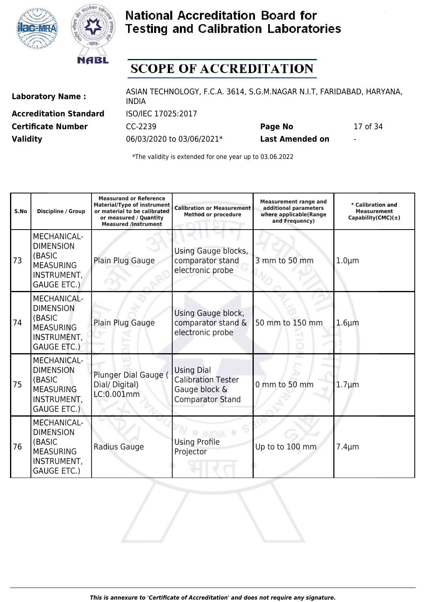



# **SCOPE OF ACCREDITATION**

**Accreditation Standard** ISO/IEC 17025:2017

Laboratory Name : ASIAN TECHNOLOGY, F.C.A. 3614, S.G.M.NAGAR N.I.T, FARIDABAD, HARYANA, INDIA **Certificate Number** CC-2239 **Page No** 17 of 34

**Validity** 06/03/2020 to 03/06/2021\* **Last Amended on** -

| S.No | <b>Discipline / Group</b>                                                                                 | <b>Measurand or Reference</b><br><b>Material/Type of instrument</b><br>or material to be calibrated<br>or measured / Quantity<br><b>Measured /Instrument</b> | <b>Calibration or Measurement</b><br><b>Method or procedure</b>                            | <b>Measurement range and</b><br>additional parameters<br>where applicable(Range<br>and Frequency) | * Calibration and<br><b>Measurement</b><br>Capability(CMC) $(±)$ |
|------|-----------------------------------------------------------------------------------------------------------|--------------------------------------------------------------------------------------------------------------------------------------------------------------|--------------------------------------------------------------------------------------------|---------------------------------------------------------------------------------------------------|------------------------------------------------------------------|
| 73   | <b>MECHANICAL-</b><br><b>DIMENSION</b><br>(BASIC<br><b>MEASURING</b><br>INSTRUMENT,<br><b>GAUGE ETC.)</b> | Plain Plug Gauge                                                                                                                                             | Using Gauge blocks,<br>comparator stand<br>electronic probe                                | 3 mm to 50 mm                                                                                     | $1.0 \mu m$                                                      |
| 74   | <b>MECHANICAL-</b><br><b>DIMENSION</b><br>(BASIC<br><b>MEASURING</b><br>INSTRUMENT,<br><b>GAUGE ETC.)</b> | Plain Plug Gauge                                                                                                                                             | Using Gauge block,<br>comparator stand &<br>electronic probe                               | 50 mm to 150 mm                                                                                   | $1.6 \mu m$                                                      |
| 75   | <b>MECHANICAL-</b><br><b>DIMENSION</b><br>(BASIC<br><b>MEASURING</b><br>INSTRUMENT,<br><b>GAUGE ETC.)</b> | Plunger Dial Gauge (<br>Dial/Digital)<br>LC:0.001mm                                                                                                          | <b>Using Dial</b><br><b>Calibration Tester</b><br>Gauge block &<br><b>Comparator Stand</b> | 0 mm to 50 mm                                                                                     | $1.7 \mu m$                                                      |
| 76   | MECHANICAL-<br><b>DIMENSION</b><br>(BASIC<br><b>MEASURING</b><br>INSTRUMENT,<br><b>GAUGE ETC.)</b>        | Radius Gauge                                                                                                                                                 | <b>Using Profile</b><br>Projector                                                          | Up to to 100 mm                                                                                   | $7.4 \mu m$                                                      |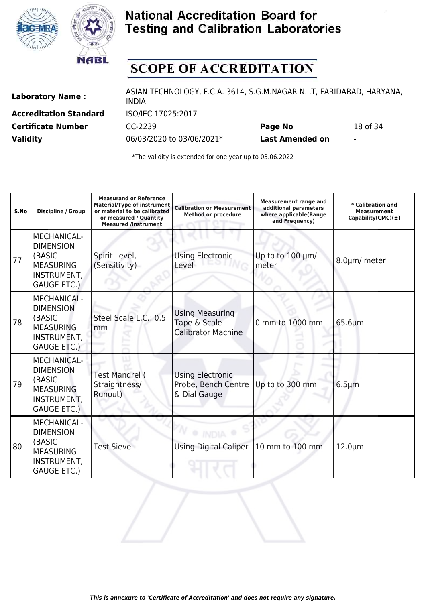



# **SCOPE OF ACCREDITATION**

**Accreditation Standard** ISO/IEC 17025:2017

Laboratory Name : ASIAN TECHNOLOGY, F.C.A. 3614, S.G.M.NAGAR N.I.T, FARIDABAD, HARYANA, INDIA **Certificate Number** CC-2239 **Page No** 18 of 34

**Validity** 06/03/2020 to 03/06/2021\* **Last Amended on** -

| S.No | <b>Discipline / Group</b>                                                                                 | <b>Measurand or Reference</b><br><b>Material/Type of instrument</b><br>or material to be calibrated<br>or measured / Quantity<br><b>Measured /Instrument</b> | <b>Calibration or Measurement</b><br><b>Method or procedure</b>     | <b>Measurement range and</b><br>additional parameters<br>where applicable(Range<br>and Frequency) | * Calibration and<br><b>Measurement</b><br>Capability(CMC) $(\pm)$ |
|------|-----------------------------------------------------------------------------------------------------------|--------------------------------------------------------------------------------------------------------------------------------------------------------------|---------------------------------------------------------------------|---------------------------------------------------------------------------------------------------|--------------------------------------------------------------------|
| 77   | <b>MECHANICAL-</b><br><b>DIMENSION</b><br>(BASIC<br><b>MEASURING</b><br>INSTRUMENT,<br><b>GAUGE ETC.)</b> | Spirit Level,<br>(Sensitivity)                                                                                                                               | <b>Using Electronic</b><br>Level                                    | Up to to 100 µm/<br>meter                                                                         | 8.0µm/ meter                                                       |
| 78   | <b>MECHANICAL-</b><br><b>DIMENSION</b><br>(BASIC<br><b>MEASURING</b><br>INSTRUMENT,<br><b>GAUGE ETC.)</b> | Steel Scale L.C.: 0.5<br>mm                                                                                                                                  | <b>Using Measuring</b><br>Tape & Scale<br><b>Calibrator Machine</b> | 0 mm to 1000 mm                                                                                   | $65.6 \mu m$                                                       |
| 79   | <b>MECHANICAL-</b><br><b>DIMENSION</b><br>(BASIC<br><b>MEASURING</b><br>INSTRUMENT,<br><b>GAUGE ETC.)</b> | <b>Test Mandrel (</b><br>Straightness/<br>Runout)                                                                                                            | Using Electronic<br>Probe, Bench Centre<br>& Dial Gauge             | Up to to 300 mm                                                                                   | $6.5 \mu m$                                                        |
| 80   | MECHANICAL-<br><b>DIMENSION</b><br>(BASIC<br><b>MEASURING</b><br>INSTRUMENT,<br><b>GAUGE ETC.)</b>        | <b>Test Sieve</b>                                                                                                                                            | <b>Using Digital Caliper</b>                                        | 10 mm to 100 mm                                                                                   | $12.0 \mu m$                                                       |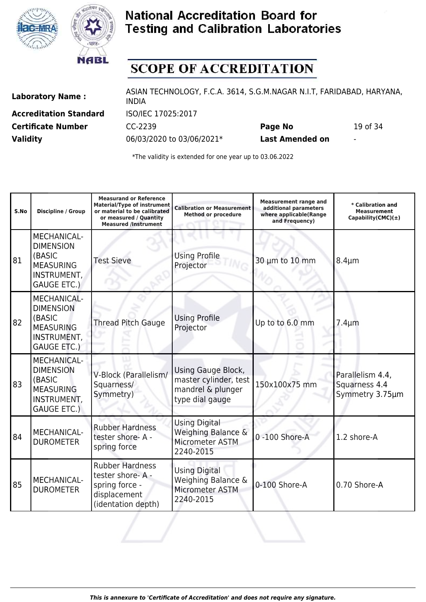



# **SCOPE OF ACCREDITATION**

**Accreditation Standard** ISO/IEC 17025:2017

Laboratory Name : ASIAN TECHNOLOGY, F.C.A. 3614, S.G.M.NAGAR N.I.T, FARIDABAD, HARYANA, INDIA **Certificate Number** CC-2239 **Page No** 19 of 34

**Validity** 06/03/2020 to 03/06/2021\* **Last Amended on** -

| S.No | Discipline / Group                                                                                        | <b>Measurand or Reference</b><br><b>Material/Type of instrument</b><br>or material to be calibrated<br>or measured / Quantity<br><b>Measured /Instrument</b> | <b>Calibration or Measurement</b><br><b>Method or procedure</b>                     | <b>Measurement range and</b><br>additional parameters<br>where applicable(Range<br>and Frequency) | * Calibration and<br><b>Measurement</b><br>Capability(CMC) $(±)$ |
|------|-----------------------------------------------------------------------------------------------------------|--------------------------------------------------------------------------------------------------------------------------------------------------------------|-------------------------------------------------------------------------------------|---------------------------------------------------------------------------------------------------|------------------------------------------------------------------|
| 81   | <b>MECHANICAL-</b><br><b>DIMENSION</b><br>(BASIC<br><b>MEASURING</b><br>INSTRUMENT,<br><b>GAUGE ETC.)</b> | <b>Test Sieve</b>                                                                                                                                            | <b>Using Profile</b><br>Projector                                                   | 30 µm to 10 mm                                                                                    | $8.4 \mu m$                                                      |
| 82   | <b>MECHANICAL-</b><br><b>DIMENSION</b><br>(BASIC<br><b>MEASURING</b><br>INSTRUMENT,<br><b>GAUGE ETC.)</b> | <b>Thread Pitch Gauge</b>                                                                                                                                    | <b>Using Profile</b><br>Projector                                                   | Up to to 6.0 mm                                                                                   | $7.4 \mu m$                                                      |
| 83   | <b>MECHANICAL-</b><br><b>DIMENSION</b><br>(BASIC<br><b>MEASURING</b><br>INSTRUMENT,<br><b>GAUGE ETC.)</b> | V-Block (Parallelism/<br>Squarness/<br>Symmetry)                                                                                                             | Using Gauge Block,<br>master cylinder, test<br>mandrel & plunger<br>type dial gauge | 150x100x75 mm                                                                                     | Parallelism 4.4,<br>Squarness 4.4<br>Symmetry 3.75um             |
| 84   | MECHANICAL-<br><b>DUROMETER</b>                                                                           | <b>Rubber Hardness</b><br>tester shore-A -<br>spring force                                                                                                   | <b>Using Digital</b><br>Weighing Balance &<br>Micrometer ASTM<br>2240-2015          | 0 -100 Shore-A                                                                                    | 1.2 shore-A                                                      |
| 85   | MECHANICAL-<br><b>DUROMETER</b>                                                                           | <b>Rubber Hardness</b><br>tester shore-A -<br>spring force -<br>displacement<br>(identation depth)                                                           | <b>Using Digital</b><br>Weighing Balance &<br>Micrometer ASTM<br>2240-2015          | 0-100 Shore-A                                                                                     | 0.70 Shore-A                                                     |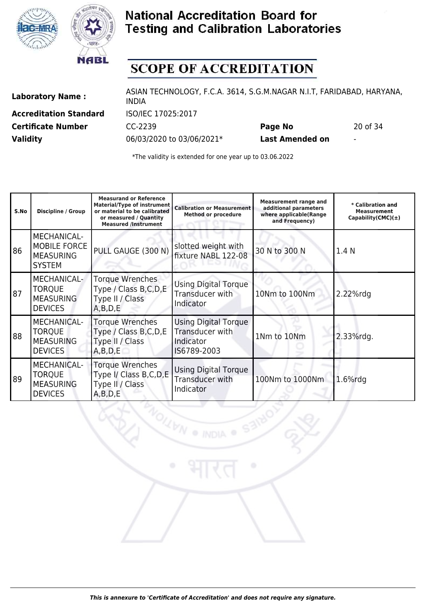



# **SCOPE OF ACCREDITATION**

**Accreditation Standard** ISO/IEC 17025:2017

Laboratory Name : ASIAN TECHNOLOGY, F.C.A. 3614, S.G.M.NAGAR N.I.T, FARIDABAD, HARYANA, INDIA **Certificate Number** CC-2239 **Page No** 20 of 34

**Validity** 06/03/2020 to 03/06/2021\* **Last Amended on** -

**LEN** 

| S.No | <b>Discipline / Group</b>                                                 | <b>Measurand or Reference</b><br><b>Material/Type of instrument</b><br>or material to be calibrated<br>or measured / Quantity<br><b>Measured /Instrument</b> | <b>Calibration or Measurement</b><br><b>Method or procedure</b>            | <b>Measurement range and</b><br>additional parameters<br>where applicable(Range<br>and Frequency) | * Calibration and<br><b>Measurement</b><br>Capability(CMC) $(\pm)$ |
|------|---------------------------------------------------------------------------|--------------------------------------------------------------------------------------------------------------------------------------------------------------|----------------------------------------------------------------------------|---------------------------------------------------------------------------------------------------|--------------------------------------------------------------------|
| 86   | MECHANICAL-<br><b>MOBILE FORCE</b><br><b>MEASURING</b><br><b>SYSTEM</b>   | PULL GAUGE (300 N)                                                                                                                                           | slotted weight with<br>fixture NABL 122-08                                 | 30 N to 300 N                                                                                     | 1.4 N                                                              |
| 87   | MECHANICAL-<br><b>TORQUE</b><br><b>MEASURING</b><br><b>DEVICES</b>        | <b>Torque Wrenches</b><br>Type / Class B, C, D, E<br>Type II / Class<br>A, B, D, E                                                                           | <b>Using Digital Torque</b><br>Transducer with<br>Indicator                | 10Nm to 100Nm                                                                                     | 2.22%rdg                                                           |
| 88   | <b>MECHANICAL-</b><br><b>TORQUE</b><br><b>MEASURING</b><br><b>DEVICES</b> | <b>Torque Wrenches</b><br>Type / Class B, C, D, E<br>Type II / Class<br>A,B,D,E                                                                              | <b>Using Digital Torque</b><br>Transducer with<br>Indicator<br>IS6789-2003 | 1Nm to 10Nm                                                                                       | 2.33%rdg.                                                          |
| 89   | <b>MECHANICAL-</b><br><b>TORQUE</b><br><b>MEASURING</b><br><b>DEVICES</b> | <b>Torque Wrenches</b><br>Type I/ Class B, C, D, E<br>Type II / Class<br>A,B,D,E                                                                             | <b>Using Digital Torque</b><br>Transducer with<br>Indicator                | 100Nm to 1000Nm                                                                                   | $1.6\%$ rdq                                                        |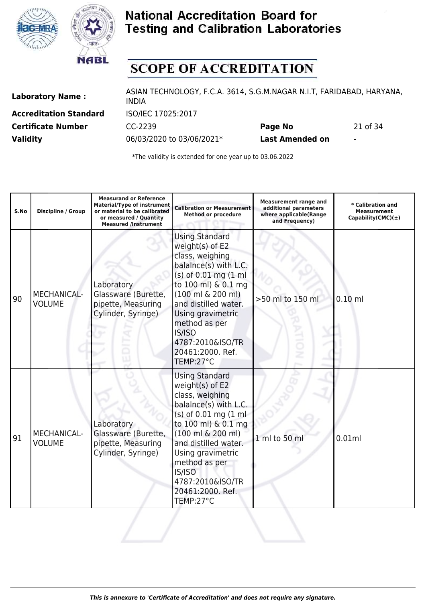



# **SCOPE OF ACCREDITATION**

**Accreditation Standard** ISO/IEC 17025:2017

Laboratory Name : ASIAN TECHNOLOGY, F.C.A. 3614, S.G.M.NAGAR N.I.T, FARIDABAD, HARYANA, INDIA **Certificate Number** CC-2239 **Page No** 21 of 34

**Validity** 06/03/2020 to 03/06/2021\* **Last Amended on** -

| S.No | <b>Discipline / Group</b>           | <b>Measurand or Reference</b><br><b>Material/Type of instrument</b><br>or material to be calibrated<br>or measured / Quantity<br><b>Measured /Instrument</b> | <b>Calibration or Measurement</b><br><b>Method or procedure</b>                                                                                                                                                                                                                                          | <b>Measurement range and</b><br>additional parameters<br>where applicable(Range<br>and Frequency) | * Calibration and<br><b>Measurement</b><br>Capability(CMC) $(\pm)$ |
|------|-------------------------------------|--------------------------------------------------------------------------------------------------------------------------------------------------------------|----------------------------------------------------------------------------------------------------------------------------------------------------------------------------------------------------------------------------------------------------------------------------------------------------------|---------------------------------------------------------------------------------------------------|--------------------------------------------------------------------|
| 90   | <b>MECHANICAL-</b><br><b>VOLUME</b> | Laboratory<br>Glassware (Burette,<br>pipette, Measuring<br>Cylinder, Syringe)                                                                                | <b>Using Standard</b><br>weight(s) of E2<br>class, weighing<br>balalnce(s) with L.C.<br>(s) of 0.01 mg (1 ml<br>to 100 ml) & 0.1 mg<br>$(100 \text{ ml} \& 200 \text{ ml})$<br>and distilled water.<br>Using gravimetric<br>method as per<br>IS/ISO<br>4787:2010&ISO/TR<br>20461:2000. Ref.<br>TEMP:27°C | >50 ml to 150 ml                                                                                  | $0.10$ ml                                                          |
| 91   | MECHANICAL-<br><b>VOLUME</b>        | Laboratory<br>Glassware (Burette,<br>pipette, Measuring<br>Cylinder, Syringe)                                                                                | <b>Using Standard</b><br>weight(s) of E2<br>class, weighing<br>balalnce(s) with L.C.<br>(s) of 0.01 mg (1 ml<br>to 100 ml) & 0.1 mg<br>$(100 \text{ ml } 6200 \text{ ml})$<br>and distilled water.<br>Using gravimetric<br>method as per<br>IS/ISO<br>4787:2010&ISO/TR<br>20461:2000. Ref.<br>TEMP:27°C  | 1 ml to 50 ml                                                                                     | 0.01ml                                                             |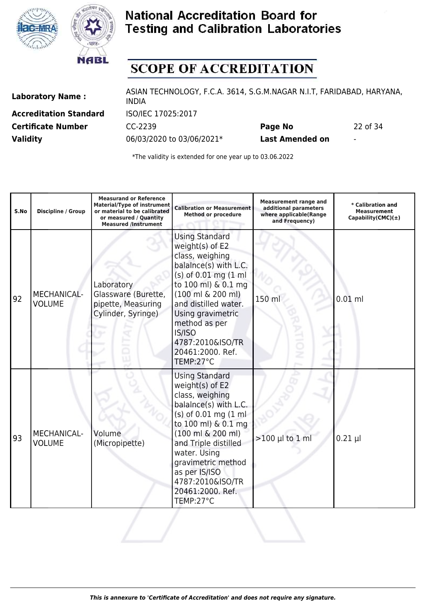



# **SCOPE OF ACCREDITATION**

**Accreditation Standard** ISO/IEC 17025:2017

Laboratory Name : ASIAN TECHNOLOGY, F.C.A. 3614, S.G.M.NAGAR N.I.T, FARIDABAD, HARYANA, INDIA **Certificate Number** CC-2239 **Page No** 22 of 34

**Validity** 06/03/2020 to 03/06/2021\* **Last Amended on** -

| S.No | <b>Discipline / Group</b>           | <b>Measurand or Reference</b><br><b>Material/Type of instrument</b><br>or material to be calibrated<br>or measured / Quantity<br><b>Measured /Instrument</b> | <b>Calibration or Measurement</b><br><b>Method or procedure</b>                                                                                                                                                                                                                                           | <b>Measurement range and</b><br>additional parameters<br>where applicable(Range<br>and Frequency) | * Calibration and<br><b>Measurement</b><br>Capability(CMC) $(\pm)$ |
|------|-------------------------------------|--------------------------------------------------------------------------------------------------------------------------------------------------------------|-----------------------------------------------------------------------------------------------------------------------------------------------------------------------------------------------------------------------------------------------------------------------------------------------------------|---------------------------------------------------------------------------------------------------|--------------------------------------------------------------------|
| 92   | <b>MECHANICAL-</b><br><b>VOLUME</b> | Laboratory<br>Glassware (Burette,<br>pipette, Measuring<br>Cylinder, Syringe)                                                                                | <b>Using Standard</b><br>weight(s) of E2<br>class, weighing<br>balalnce(s) with L.C.<br>(s) of 0.01 mg (1 ml<br>to 100 ml) & 0.1 mg<br>$(100 \text{ ml } 6$ 200 ml)<br>and distilled water.<br>Using gravimetric<br>method as per<br>IS/ISO<br>4787:2010&ISO/TR<br>20461:2000. Ref.<br>TEMP:27°C          | 150 m                                                                                             | $0.01$ ml                                                          |
| 93   | MECHANICAL-<br><b>VOLUME</b>        | Volume<br>(Micropipette)                                                                                                                                     | <b>Using Standard</b><br>weight(s) of E2<br>class, weighing<br>balalnce(s) with L.C.<br>$(s)$ of 0.01 mg $(1 \text{ ml})$<br>to 100 ml) & 0.1 mg<br>(100 ml & 200 ml)<br>and Triple distilled<br>water. Using<br>gravimetric method<br>as per IS/ISO<br>4787:2010&ISO/TR<br>20461:2000. Ref.<br>TEMP:27°C | $>100$ µl to 1 ml                                                                                 | $0.21$ µl                                                          |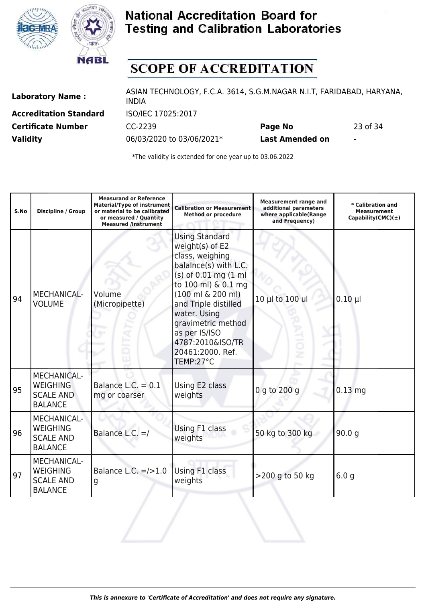



# **SCOPE OF ACCREDITATION**

**Accreditation Standard** ISO/IEC 17025:2017

Laboratory Name : ASIAN TECHNOLOGY, F.C.A. 3614, S.G.M.NAGAR N.I.T, FARIDABAD, HARYANA, INDIA **Certificate Number** CC-2239 **Page No** 23 of 34

**Validity** 06/03/2020 to 03/06/2021\* **Last Amended on** -

| S.No | <b>Discipline / Group</b>                                                   | <b>Measurand or Reference</b><br><b>Material/Type of instrument</b><br>or material to be calibrated<br>or measured / Quantity<br><b>Measured /Instrument</b> | <b>Calibration or Measurement</b><br><b>Method or procedure</b>                                                                                                                                                                                                                                                | <b>Measurement range and</b><br>additional parameters<br>where applicable(Range<br>and Frequency) | * Calibration and<br><b>Measurement</b><br>Capability(CMC) $(\pm)$ |
|------|-----------------------------------------------------------------------------|--------------------------------------------------------------------------------------------------------------------------------------------------------------|----------------------------------------------------------------------------------------------------------------------------------------------------------------------------------------------------------------------------------------------------------------------------------------------------------------|---------------------------------------------------------------------------------------------------|--------------------------------------------------------------------|
| 94   | MECHANICAL-<br><b>VOLUME</b>                                                | Volume<br>(Micropipette)                                                                                                                                     | <b>Using Standard</b><br>weight(s) of E2<br>class, weighing<br>balalnce(s) with L.C.<br>(s) of 0.01 mg (1 ml<br>to 100 ml) & 0.1 mg<br>$(100 \text{ ml } 6200 \text{ ml})$<br>and Triple distilled<br>water. Using<br>gravimetric method<br>as per IS/ISO<br>4787:2010&ISO/TR<br>20461:2000. Ref.<br>TEMP:27°C | 10 µl to 100 ul<br>ż                                                                              | $0.10 \mu$                                                         |
| 95   | <b>MECHANICAL-</b><br><b>WEIGHING</b><br><b>SCALE AND</b><br><b>BALANCE</b> | Balance L.C. $= 0.1$<br>mg or coarser                                                                                                                        | Using E2 class<br>weights                                                                                                                                                                                                                                                                                      | 0 g to 200 g                                                                                      | $0.13$ mg                                                          |
| 96   | <b>MECHANICAL-</b><br><b>WEIGHING</b><br><b>SCALE AND</b><br><b>BALANCE</b> | Balance L.C. $=$ /                                                                                                                                           | Using F1 class<br>weights                                                                                                                                                                                                                                                                                      | 50 kg to 300 kg                                                                                   | 90.0 <sub>g</sub>                                                  |
| 97   | <b>MECHANICAL-</b><br><b>WEIGHING</b><br><b>SCALE AND</b><br><b>BALANCE</b> | Balance L.C. $=$ />1.0<br>g                                                                                                                                  | Using F1 class<br>weights                                                                                                                                                                                                                                                                                      | >200 g to 50 kg                                                                                   | 6.0 <sub>q</sub>                                                   |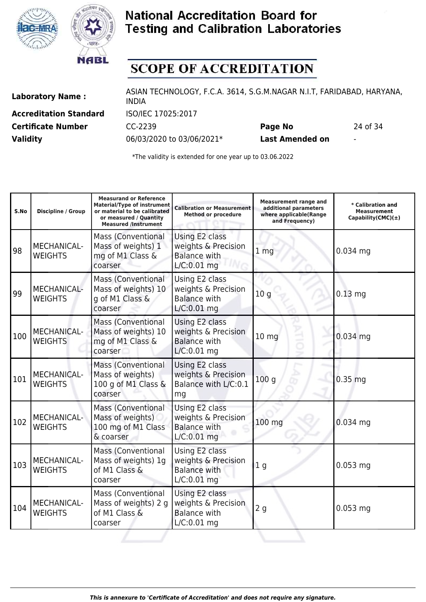



# **SCOPE OF ACCREDITATION**

**Accreditation Standard** ISO/IEC 17025:2017

Laboratory Name : ASIAN TECHNOLOGY, F.C.A. 3614, S.G.M.NAGAR N.I.T, FARIDABAD, HARYANA, INDIA **Certificate Number** CC-2239 **Page No** 24 of 34

**Validity** 06/03/2020 to 03/06/2021\* **Last Amended on** -

| S.No | Discipline / Group                   | <b>Measurand or Reference</b><br><b>Material/Type of instrument</b><br>or material to be calibrated<br>or measured / Quantity<br><b>Measured /Instrument</b> | <b>Calibration or Measurement</b><br><b>Method or procedure</b>               | <b>Measurement range and</b><br>additional parameters<br>where applicable(Range<br>and Frequency) | * Calibration and<br><b>Measurement</b><br>$Capability(CMC)(\pm)$ |
|------|--------------------------------------|--------------------------------------------------------------------------------------------------------------------------------------------------------------|-------------------------------------------------------------------------------|---------------------------------------------------------------------------------------------------|-------------------------------------------------------------------|
| 98   | <b>MECHANICAL-</b><br><b>WEIGHTS</b> | <b>Mass (Conventional</b><br>Mass of weights) 1<br>mg of M1 Class &<br>coarser                                                                               | Using E2 class<br>weights & Precision<br><b>Balance with</b><br>$L/C:0.01$ mg | 1 <sub>mg</sub>                                                                                   | $0.034$ mg                                                        |
| 99   | <b>MECHANICAL-</b><br><b>WEIGHTS</b> | <b>Mass (Conventional</b><br>Mass of weights) 10<br>g of M1 Class &<br>coarser                                                                               | Using E2 class<br>weights & Precision<br><b>Balance with</b><br>$L/C:0.01$ mg | 10 <sub>g</sub>                                                                                   | $0.13$ mg                                                         |
| 100  | <b>MECHANICAL-</b><br><b>WEIGHTS</b> | <b>Mass (Conventional</b><br>Mass of weights) 10<br>mg of M1 Class &<br>coarser                                                                              | Using E2 class<br>weights & Precision<br><b>Balance with</b><br>$L/C:0.01$ mg | $10$ mg                                                                                           | $0.034$ mg                                                        |
| 101  | <b>MECHANICAL-</b><br><b>WEIGHTS</b> | <b>Mass (Conventional</b><br>Mass of weights)<br>100 g of M1 Class &<br>coarser                                                                              | Using E2 class<br>weights & Precision<br>Balance with L/C:0.1<br>mg           | 100q                                                                                              | $0.35$ mg                                                         |
| 102  | MECHANICAL-<br><b>WEIGHTS</b>        | <b>Mass (Conventional</b><br>Mass of weights)<br>100 mg of M1 Class<br>& coarser                                                                             | Using E2 class<br>weights & Precision<br><b>Balance with</b><br>$L/C:0.01$ mg | 100 mg                                                                                            | $0.034$ mg                                                        |
| 103  | MECHANICAL-<br><b>WEIGHTS</b>        | <b>Mass (Conventional</b><br>Mass of weights) 1g<br>of M1 Class &<br>coarser                                                                                 | Using E2 class<br>weights & Precision<br><b>Balance with</b><br>$L/C:0.01$ mg | 1 <sub>g</sub>                                                                                    | $0.053$ mg                                                        |
| 104  | MECHANICAL-<br><b>WEIGHTS</b>        | <b>Mass (Conventional</b><br>Mass of weights) 2 g<br>of M1 Class &<br>coarser                                                                                | Using E2 class<br>weights & Precision<br><b>Balance with</b><br>$L/C:0.01$ mg | 2g                                                                                                | $0.053$ mg                                                        |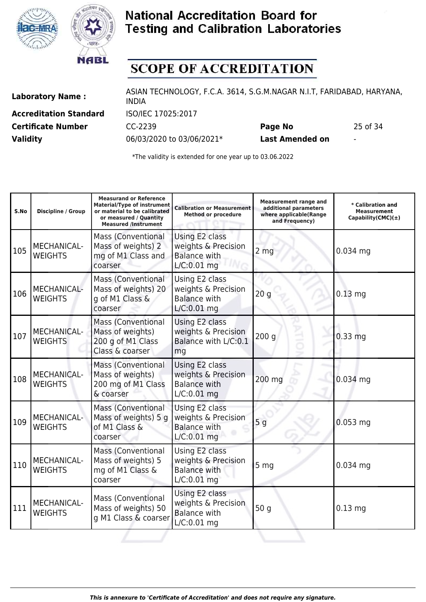



# **SCOPE OF ACCREDITATION**

**Accreditation Standard** ISO/IEC 17025:2017

Laboratory Name : ASIAN TECHNOLOGY, F.C.A. 3614, S.G.M.NAGAR N.I.T, FARIDABAD, HARYANA, INDIA **Certificate Number** CC-2239 **Page No** 25 of 34

**Validity** 06/03/2020 to 03/06/2021\* **Last Amended on** -

| S.No | <b>Discipline / Group</b>            | <b>Measurand or Reference</b><br><b>Material/Type of instrument</b><br>or material to be calibrated<br>or measured / Quantity<br><b>Measured /Instrument</b> | <b>Calibration or Measurement</b><br><b>Method or procedure</b>               | <b>Measurement range and</b><br>additional parameters<br>where applicable(Range<br>and Frequency) | * Calibration and<br><b>Measurement</b><br>$Capability(CMC)(\pm)$ |
|------|--------------------------------------|--------------------------------------------------------------------------------------------------------------------------------------------------------------|-------------------------------------------------------------------------------|---------------------------------------------------------------------------------------------------|-------------------------------------------------------------------|
| 105  | MECHANICAL-<br><b>WEIGHTS</b>        | <b>Mass (Conventional</b><br>Mass of weights) 2<br>mg of M1 Class and<br>coarser                                                                             | Using E2 class<br>weights & Precision<br><b>Balance with</b><br>$L/C:0.01$ mg | 2 <sub>mg</sub>                                                                                   | $0.034$ mg                                                        |
| 106  | MECHANICAL-<br><b>WEIGHTS</b>        | <b>Mass (Conventional</b><br>Mass of weights) 20<br>g of M1 Class &<br>coarser                                                                               | Using E2 class<br>weights & Precision<br><b>Balance with</b><br>$L/C:0.01$ mg | 20q                                                                                               | $0.13$ mg                                                         |
| 107  | <b>MECHANICAL-</b><br><b>WEIGHTS</b> | <b>Mass (Conventional</b><br>Mass of weights)<br>200 g of M1 Class<br>Class & coarser                                                                        | Using E2 class<br>weights & Precision<br>Balance with L/C:0.1<br>mg           | 200q                                                                                              | $0.33$ mg                                                         |
| 108  | <b>MECHANICAL-</b><br><b>WEIGHTS</b> | <b>Mass (Conventional</b><br>Mass of weights)<br>200 mg of M1 Class<br>& coarser                                                                             | Using E2 class<br>weights & Precision<br><b>Balance with</b><br>$L/C:0.01$ mg | 200 mg                                                                                            | $0.034$ mg                                                        |
| 109  | MECHANICAL-<br><b>WEIGHTS</b>        | <b>Mass (Conventional</b><br>Mass of weights) 5 g<br>of M1 Class &<br>coarser                                                                                | Using E2 class<br>weights & Precision<br><b>Balance with</b><br>$L/C:0.01$ mg | 5 <sub>g</sub>                                                                                    | $0.053$ mg                                                        |
| 110  | MECHANICAL-<br><b>WEIGHTS</b>        | <b>Mass (Conventional</b><br>Mass of weights) 5<br>mg of M1 Class &<br>coarser                                                                               | Using E2 class<br>weights & Precision<br><b>Balance with</b><br>$L/C:0.01$ mg | 5 mg                                                                                              | $0.034$ mg                                                        |
| 111  | MECHANICAL-<br><b>WEIGHTS</b>        | <b>Mass (Conventional</b><br>Mass of weights) 50<br>g M1 Class & coarser                                                                                     | Using E2 class<br>weights & Precision<br><b>Balance with</b><br>L/C:0.01 mg   | 50 g                                                                                              | $0.13$ mg                                                         |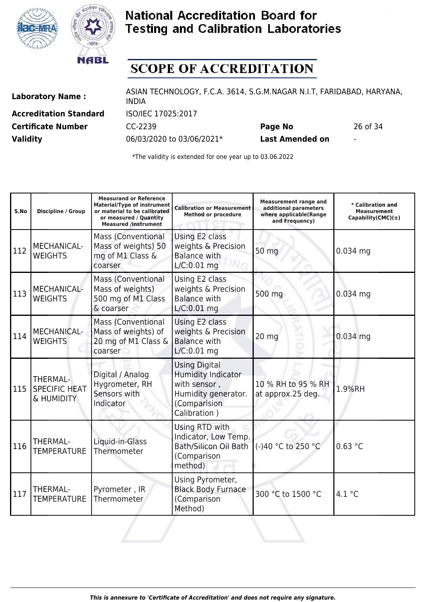



# **SCOPE OF ACCREDITATION**

**Accreditation Standard** ISO/IEC 17025:2017

Laboratory Name : ASIAN TECHNOLOGY, F.C.A. 3614, S.G.M.NAGAR N.I.T, FARIDABAD, HARYANA, INDIA **Certificate Number** CC-2239 **Page No** 26 of 34

**Validity** 06/03/2020 to 03/06/2021\* **Last Amended on** -

| S.No | <b>Discipline / Group</b>                      | <b>Measurand or Reference</b><br>Material/Type of instrument<br>or material to be calibrated<br>or measured / Quantity<br><b>Measured /Instrument</b> | <b>Calibration or Measurement</b><br><b>Method or procedure</b>                                                   | <b>Measurement range and</b><br>additional parameters<br>where applicable(Range<br>and Frequency) | * Calibration and<br><b>Measurement</b><br>Capability(CMC)(±) |
|------|------------------------------------------------|-------------------------------------------------------------------------------------------------------------------------------------------------------|-------------------------------------------------------------------------------------------------------------------|---------------------------------------------------------------------------------------------------|---------------------------------------------------------------|
| 112  | MECHANICAL-<br><b>WEIGHTS</b>                  | <b>Mass (Conventional</b><br>Mass of weights) 50<br>mg of M1 Class &<br>coarser                                                                       | Using E2 class<br>weights & Precision<br><b>Balance with</b><br>$L/C:0.01$ mg                                     | 50 mg                                                                                             | $0.034$ mg                                                    |
| 113  | MECHANICAL-<br><b>WEIGHTS</b>                  | <b>Mass (Conventional</b><br>Mass of weights)<br>500 mg of M1 Class<br>& coarser                                                                      | Using E2 class<br>weights & Precision<br><b>Balance with</b><br>$L/C:0.01$ mg                                     | 500 mg                                                                                            | 0.034 mg                                                      |
| 114  | <b>MECHANICAL-</b><br><b>WEIGHTS</b>           | <b>Mass (Conventional</b><br>Mass of weights) of<br>20 mg of M1 Class &<br>coarser                                                                    | Using E2 class<br>weights & Precision<br><b>Balance with</b><br>$L/C:0.01$ mg                                     | 20 mg                                                                                             | 0.034 mg                                                      |
| 115  | THERMAL-<br><b>SPECIFIC HEAT</b><br>& HUMIDITY | Digital / Analog<br>Hygrometer, RH<br>Sensors with<br>Indicator                                                                                       | <b>Using Digital</b><br>Humidity Indicator<br>with sensor,<br>Humidity generator.<br>(Comparision<br>Calibration) | 10 % RH to 95 % RH<br>at approx.25 deg.                                                           | 1.9%RH                                                        |
| 116  | <b>THERMAL-</b><br><b>TEMPERATURE</b>          | Liquid-in-Glass<br>Thermometer                                                                                                                        | Using RTD with<br>Indicator, Low Temp.<br>Bath/Silicon Oil Bath<br>(Comparison<br>method)                         | (-)40 °C to 250 °C                                                                                | 0.63 °C                                                       |
| 117  | THERMAL-<br><b>TEMPERATURE</b>                 | Pyrometer, IR<br><b>Thermometer</b>                                                                                                                   | Using Pyrometer,<br><b>Black Body Furnace</b><br>(Comparison<br>Method)                                           | 300 °C to 1500 °C                                                                                 | 4.1 °C                                                        |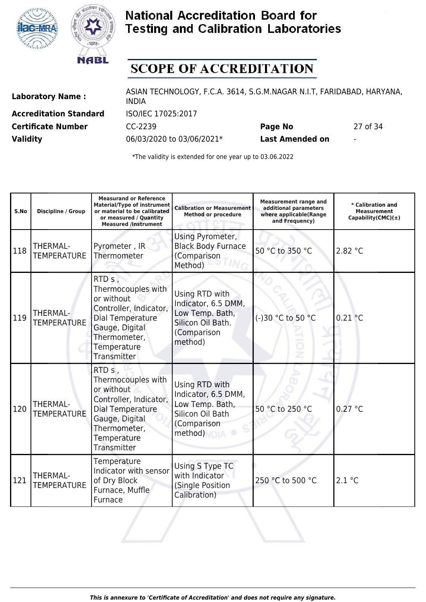



# **SCOPE OF ACCREDITATION**

**Accreditation Standard** ISO/IEC 17025:2017

Laboratory Name : ASIAN TECHNOLOGY, F.C.A. 3614, S.G.M.NAGAR N.I.T, FARIDABAD, HARYANA, INDIA **Certificate Number** CC-2239 **Page No** 27 of 34

**Validity** 06/03/2020 to 03/06/2021\* **Last Amended on** -

| S.No | Discipline / Group             | <b>Measurand or Reference</b><br><b>Material/Type of instrument</b><br>or material to be calibrated<br>or measured / Quantity<br><b>Measured /Instrument</b>         | <b>Calibration or Measurement</b><br><b>Method or procedure</b>                                         | <b>Measurement range and</b><br>additional parameters<br>where applicable(Range<br>and Frequency) | * Calibration and<br><b>Measurement</b><br>Capability(CMC) $(\pm)$ |
|------|--------------------------------|----------------------------------------------------------------------------------------------------------------------------------------------------------------------|---------------------------------------------------------------------------------------------------------|---------------------------------------------------------------------------------------------------|--------------------------------------------------------------------|
| 118  | THERMAL-<br><b>TEMPERATURE</b> | Pyrometer, IR<br>Thermometer                                                                                                                                         | Using Pyrometer,<br><b>Black Body Furnace</b><br>(Comparison<br>Method)                                 | 50 °C to 350 °C                                                                                   | 2.82 °C                                                            |
| 119  | THERMAL-<br><b>TEMPERATURE</b> | RTD s,<br>Thermocouples with<br>or without<br>Controller, Indicator,<br>Dial Temperature<br>Gauge, Digital<br>Thermometer,<br>Temperature<br>Transmitter             | Using RTD with<br>Indicator, 6.5 DMM,<br>Low Temp. Bath,<br>Silicon Oil Bath.<br>(Comparison<br>method) | (-)30 °C to 50 °C                                                                                 | 0.21 °C                                                            |
| 120  | THERMAL-<br><b>TEMPERATURE</b> | RTD <sub>s</sub> ,<br>Thermocouples with<br>or without<br>Controller, Indicator,<br>Dial Temperature<br>Gauge, Digital<br>Thermometer,<br>Temperature<br>Transmitter | Using RTD with<br>Indicator, 6.5 DMM,<br>Low Temp. Bath,<br>Silicon Oil Bath<br>(Comparison<br>method)  | 50 °C to 250 °C                                                                                   | 0.27 °C                                                            |
| 121  | THERMAL-<br><b>TEMPERATURE</b> | Temperature<br>Indicator with sensor<br>of Dry Block<br>Furnace, Muffle<br>Furnace                                                                                   | Using S Type TC<br>with Indicator<br>(Single Position<br>Calibration)                                   | 250 °C to 500 °C                                                                                  | 2.1 °C                                                             |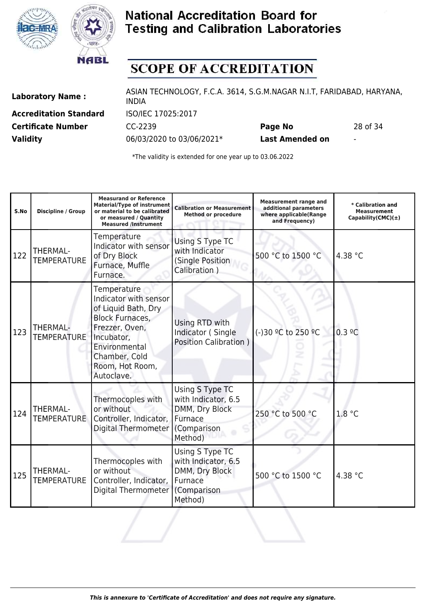



# **SCOPE OF ACCREDITATION**

**Accreditation Standard** ISO/IEC 17025:2017

Laboratory Name : ASIAN TECHNOLOGY, F.C.A. 3614, S.G.M.NAGAR N.I.T, FARIDABAD, HARYANA, INDIA **Certificate Number** CC-2239 **Page No** 28 of 34

**Validity** 06/03/2020 to 03/06/2021\* **Last Amended on** -

| S.No | <b>Discipline / Group</b>             | <b>Measurand or Reference</b><br><b>Material/Type of instrument</b><br>or material to be calibrated<br>or measured / Quantity<br><b>Measured /Instrument</b>                             | <b>Calibration or Measurement</b><br><b>Method or procedure</b>                               | <b>Measurement range and</b><br>additional parameters<br>where applicable(Range<br>and Frequency) | * Calibration and<br><b>Measurement</b><br>Capability(CMC) $(\pm)$ |
|------|---------------------------------------|------------------------------------------------------------------------------------------------------------------------------------------------------------------------------------------|-----------------------------------------------------------------------------------------------|---------------------------------------------------------------------------------------------------|--------------------------------------------------------------------|
| 122  | THERMAL-<br><b>TEMPERATURE</b>        | Temperature<br>Indicator with sensor<br>of Dry Block<br>Furnace, Muffle<br>Furnace.                                                                                                      | Using S Type TC<br>with Indicator<br>(Single Position<br>Calibration)                         | 500 °C to 1500 °C                                                                                 | 4.38 °C                                                            |
| 123  | THERMAL-<br><b>TEMPERATURE</b>        | Temperature<br>Indicator with sensor<br>of Liquid Bath, Dry<br><b>Block Furnaces,</b><br>Frezzer, Oven,<br>Incubator,<br>Environmental<br>Chamber, Cold<br>Room, Hot Room,<br>Autoclave. | Using RTD with<br>Indicator (Single<br><b>Position Calibration )</b>                          | (-)30 °C to 250 °C                                                                                | 0.3 °C                                                             |
| 124  | THERMAL-<br><b>TEMPERATURE</b>        | Thermocoples with<br>or without<br>Controller, Indicator,<br>Digital Thermometer                                                                                                         | Using S Type TC<br>with Indicator, 6.5<br>DMM, Dry Block<br>Furnace<br>(Comparison<br>Method) | 250 °C to 500 °C                                                                                  | 1.8 °C                                                             |
| 125  | <b>THERMAL-</b><br><b>TEMPERATURE</b> | Thermocoples with<br>or without<br>Controller, Indicator,<br>Digital Thermometer                                                                                                         | Using S Type TC<br>with Indicator, 6.5<br>DMM, Dry Block<br>Furnace<br>(Comparison<br>Method) | 500 °C to 1500 °C                                                                                 | 4.38 °C                                                            |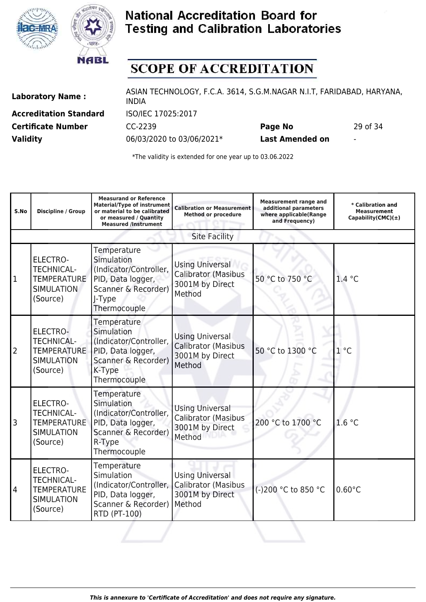



# **SCOPE OF ACCREDITATION**

**Accreditation Standard** ISO/IEC 17025:2017

Laboratory Name : ASIAN TECHNOLOGY, F.C.A. 3614, S.G.M.NAGAR N.I.T, FARIDABAD, HARYANA, INDIA **Certificate Number** CC-2239 **Page No** 29 of 34

**Validity** 06/03/2020 to 03/06/2021\* **Last Amended on** -

| S.No | Discipline / Group                                                                          | <b>Measurand or Reference</b><br>Material/Type of instrument<br>or material to be calibrated<br>or measured / Quantity<br><b>Measured /Instrument</b> | <b>Calibration or Measurement</b><br><b>Method or procedure</b>                   | <b>Measurement range and</b><br>additional parameters<br>where applicable(Range<br>and Frequency) | * Calibration and<br><b>Measurement</b><br>Capability(CMC) $(\pm)$ |
|------|---------------------------------------------------------------------------------------------|-------------------------------------------------------------------------------------------------------------------------------------------------------|-----------------------------------------------------------------------------------|---------------------------------------------------------------------------------------------------|--------------------------------------------------------------------|
|      |                                                                                             |                                                                                                                                                       | <b>Site Facility</b>                                                              |                                                                                                   |                                                                    |
| 1    | <b>ELECTRO-</b><br><b>TECHNICAL-</b><br><b>TEMPERATURE</b><br><b>SIMULATION</b><br>(Source) | Temperature<br>Simulation<br>(Indicator/Controller,<br>PID, Data logger,<br>Scanner & Recorder)<br>J-Type<br>Thermocouple                             | <b>Using Universal</b><br>Calibrator (Masibus<br>3001M by Direct<br>Method        | 50 °C to 750 °C                                                                                   | 1.4 °C                                                             |
| 2    | ELECTRO-<br><b>TECHNICAL-</b><br><b>TEMPERATURE</b><br><b>SIMULATION</b><br>(Source)        | Temperature<br>Simulation<br>(Indicator/Controller,<br>PID, Data logger,<br>Scanner & Recorder)<br>K-Type<br>Thermocouple                             | <b>Using Universal</b><br><b>Calibrator (Masibus</b><br>3001M by Direct<br>Method | 50 °C to 1300 °C                                                                                  | $1^{\circ}$ C                                                      |
| 3    | <b>ELECTRO-</b><br><b>TECHNICAL-</b><br><b>TEMPERATURE</b><br><b>SIMULATION</b><br>(Source) | Temperature<br>Simulation<br>(Indicator/Controller,<br>PID, Data logger,<br>Scanner & Recorder)<br>R-Type<br>Thermocouple                             | <b>Using Universal</b><br>Calibrator (Masibus<br>3001M by Direct<br>Method        | 200 °C to 1700 °C                                                                                 | 1.6 °C                                                             |
| 4    | <b>ELECTRO-</b><br><b>TECHNICAL-</b><br><b>TEMPERATURE</b><br><b>SIMULATION</b><br>(Source) | Temperature<br>Simulation<br>(Indicator/Controller,<br>PID, Data logger,<br>Scanner & Recorder)<br><b>RTD (PT-100)</b>                                | <b>Using Universal</b><br><b>Calibrator (Masibus</b><br>3001M by Direct<br>Method | (-)200 °C to 850 °C                                                                               | $0.60^{\circ}$ C                                                   |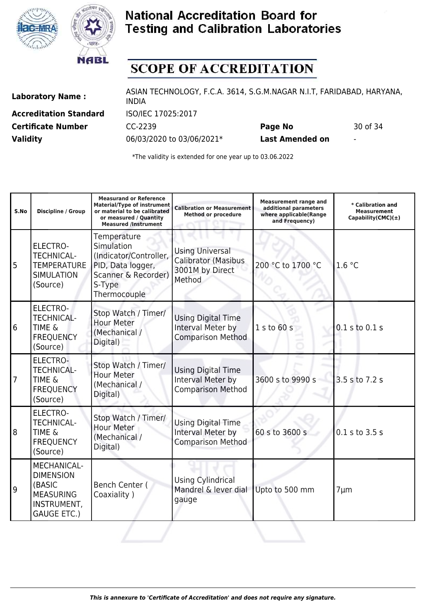



# **SCOPE OF ACCREDITATION**

**Accreditation Standard** ISO/IEC 17025:2017

Laboratory Name : ASIAN TECHNOLOGY, F.C.A. 3614, S.G.M.NAGAR N.I.T, FARIDABAD, HARYANA, INDIA **Certificate Number** CC-2239 **Page No** 30 of 34

**Validity** 06/03/2020 to 03/06/2021\* **Last Amended on** -

| S.No           | Discipline / Group                                                                                 | <b>Measurand or Reference</b><br>Material/Type of instrument<br>or material to be calibrated<br>or measured / Quantity<br><b>Measured /Instrument</b> | <b>Calibration or Measurement</b><br><b>Method or procedure</b>                   | <b>Measurement range and</b><br>additional parameters<br>where applicable(Range<br>and Frequency) | * Calibration and<br><b>Measurement</b><br>Capability(CMC) $(\pm)$ |
|----------------|----------------------------------------------------------------------------------------------------|-------------------------------------------------------------------------------------------------------------------------------------------------------|-----------------------------------------------------------------------------------|---------------------------------------------------------------------------------------------------|--------------------------------------------------------------------|
| $\overline{5}$ | ELECTRO-<br><b>TECHNICAL-</b><br><b>TEMPERATURE</b><br><b>SIMULATION</b><br>(Source)               | Temperature<br>Simulation<br>(Indicator/Controller,<br>PID, Data logger,<br>Scanner & Recorder)<br>S-Type<br>Thermocouple                             | <b>Using Universal</b><br><b>Calibrator (Masibus</b><br>3001M by Direct<br>Method | 200 °C to 1700 °C                                                                                 | 1.6 °C                                                             |
| 6              | <b>ELECTRO-</b><br><b>TECHNICAL-</b><br><b>TIME &amp;</b><br><b>FREQUENCY</b><br>(Source)          | Stop Watch / Timer/<br><b>Hour Meter</b><br>(Mechanical /<br>Digital)                                                                                 | <b>Using Digital Time</b><br>Interval Meter by<br><b>Comparison Method</b>        | 1 s to 60 s                                                                                       | $0.1$ s to $0.1$ s                                                 |
| $\overline{7}$ | <b>ELECTRO-</b><br><b>TECHNICAL-</b><br><b>TIME &amp;</b><br><b>FREQUENCY</b><br>(Source)          | Stop Watch / Timer/<br><b>Hour Meter</b><br>(Mechanical /<br>Digital)                                                                                 | <b>Using Digital Time</b><br>Interval Meter by<br><b>Comparison Method</b>        | 3600 s to 9990 s                                                                                  | 3.5 s to 7.2 s                                                     |
| 8              | <b>ELECTRO-</b><br><b>TECHNICAL-</b><br><b>TIME &amp;</b><br><b>FREQUENCY</b><br>(Source)          | Stop Watch / Timer/<br><b>Hour Meter</b><br>(Mechanical /<br>Digital)                                                                                 | <b>Using Digital Time</b><br>Interval Meter by<br><b>Comparison Method</b>        | 60 s to 3600 s                                                                                    | $0.1$ s to $3.5$ s                                                 |
| 9              | MECHANICAL-<br><b>DIMENSION</b><br>(BASIC<br><b>MEASURING</b><br>INSTRUMENT,<br><b>GAUGE ETC.)</b> | Bench Center (<br>Coaxiality)                                                                                                                         | <b>Using Cylindrical</b><br>Mandrel & lever dial<br>gauge                         | Upto to 500 mm                                                                                    | $7 \mu m$                                                          |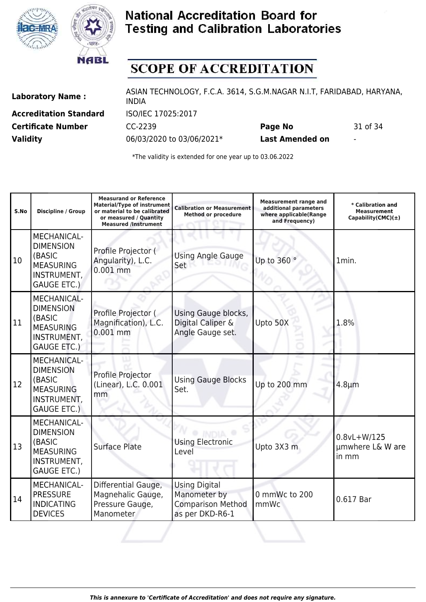



# **SCOPE OF ACCREDITATION**

**Accreditation Standard** ISO/IEC 17025:2017

Laboratory Name : ASIAN TECHNOLOGY, F.C.A. 3614, S.G.M.NAGAR N.I.T, FARIDABAD, HARYANA, INDIA **Certificate Number** CC-2239 **Page No** 31 of 34

**Validity** 06/03/2020 to 03/06/2021\* **Last Amended on** -

| S.No      | <b>Discipline / Group</b>                                                                                 | <b>Measurand or Reference</b><br><b>Material/Type of instrument</b><br>or material to be calibrated<br>or measured / Quantity<br><b>Measured /Instrument</b> | <b>Calibration or Measurement</b><br><b>Method or procedure</b>                     | <b>Measurement range and</b><br>additional parameters<br>where applicable(Range<br>and Frequency) | * Calibration and<br><b>Measurement</b><br>Capability(CMC) $(\pm)$ |
|-----------|-----------------------------------------------------------------------------------------------------------|--------------------------------------------------------------------------------------------------------------------------------------------------------------|-------------------------------------------------------------------------------------|---------------------------------------------------------------------------------------------------|--------------------------------------------------------------------|
| 10        | MECHANICAL-<br><b>DIMENSION</b><br>(BASIC<br><b>MEASURING</b><br>INSTRUMENT,<br><b>GAUGE ETC.)</b>        | Profile Projector (<br>Angularity), L.C.<br>$0.001$ mm                                                                                                       | <b>Using Angle Gauge</b><br>Set                                                     | Up to 360 °                                                                                       | 1min.                                                              |
| 11        | <b>MECHANICAL-</b><br><b>DIMENSION</b><br>(BASIC<br><b>MEASURING</b><br>INSTRUMENT,<br><b>GAUGE ETC.)</b> | Profile Projector (<br>Magnification), L.C.<br>$0.001$ mm                                                                                                    | Using Gauge blocks,<br>Digital Caliper &<br>Angle Gauge set.                        | Upto 50X                                                                                          | 1.8%                                                               |
| 12        | <b>MECHANICAL-</b><br><b>DIMENSION</b><br>(BASIC<br><b>MEASURING</b><br>INSTRUMENT,<br><b>GAUGE ETC.)</b> | Profile Projector<br>(Linear), L.C. 0.001<br>mm                                                                                                              | <b>Using Gauge Blocks</b><br>Set.                                                   | Up to 200 mm                                                                                      | $4.8 \mu m$                                                        |
| 13        | MECHANICAL-<br><b>DIMENSION</b><br>(BASIC<br><b>MEASURING</b><br>INSTRUMENT,<br><b>GAUGE ETC.)</b>        | Surface Plate                                                                                                                                                | <b>Using Electronic</b><br>Level                                                    | Upto 3X3 m                                                                                        | $0.8vL+W/125$<br>umwhere L& W are<br>in mm                         |
| <b>14</b> | MECHANICAL-<br><b>PRESSURE</b><br><b>INDICATING</b><br><b>DEVICES</b>                                     | Differential Gauge,<br>Magnehalic Gauge,<br>Pressure Gauge,<br>Manometer                                                                                     | <b>Using Digital</b><br>Manometer by<br><b>Comparison Method</b><br>as per DKD-R6-1 | 0 mmWc to 200<br>mmWc                                                                             | 0.617 Bar                                                          |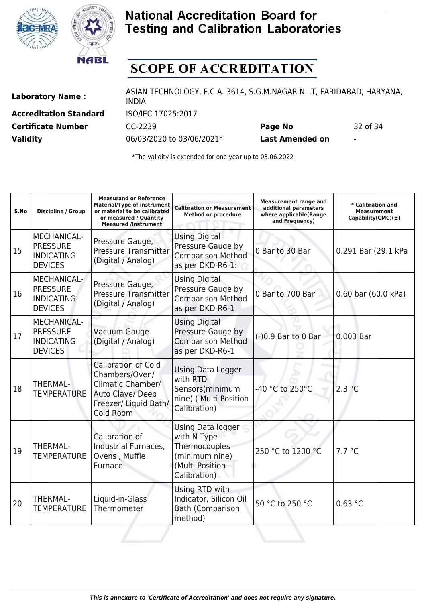



# **SCOPE OF ACCREDITATION**

**Accreditation Standard** ISO/IEC 17025:2017

Laboratory Name : ASIAN TECHNOLOGY, F.C.A. 3614, S.G.M.NAGAR N.I.T, FARIDABAD, HARYANA, INDIA **Certificate Number** CC-2239 **Page No** 32 of 34

**Validity** 06/03/2020 to 03/06/2021\* **Last Amended on** -

| S.No | Discipline / Group                                                           | <b>Measurand or Reference</b><br><b>Material/Type of instrument</b><br>or material to be calibrated<br>or measured / Quantity<br><b>Measured /Instrument</b> | <b>Calibration or Measurement</b><br><b>Method or procedure</b>                                        | <b>Measurement range and</b><br>additional parameters<br>where applicable(Range<br>and Frequency) | * Calibration and<br><b>Measurement</b><br>Capability(CMC) $(\pm)$ |
|------|------------------------------------------------------------------------------|--------------------------------------------------------------------------------------------------------------------------------------------------------------|--------------------------------------------------------------------------------------------------------|---------------------------------------------------------------------------------------------------|--------------------------------------------------------------------|
| 15   | MECHANICAL-<br><b>PRESSURE</b><br><b>INDICATING</b><br><b>DEVICES</b>        | Pressure Gauge,<br><b>Pressure Transmitter</b><br>(Digital / Analog)                                                                                         | <b>Using Digital</b><br>Pressure Gauge by<br><b>Comparison Method</b><br>as per DKD-R6-1:              | 0 Bar to 30 Bar                                                                                   | 0.291 Bar (29.1 kPa                                                |
| 16   | MECHANICAL-<br><b>PRESSURE</b><br><b>INDICATING</b><br><b>DEVICES</b>        | Pressure Gauge,<br><b>Pressure Transmitter</b><br>(Digital / Analog)                                                                                         | <b>Using Digital</b><br>Pressure Gauge by<br><b>Comparison Method</b><br>as per DKD-R6-1               | 0 Bar to 700 Bar                                                                                  | 0.60 bar (60.0 kPa)                                                |
| 17   | <b>MECHANICAL-</b><br><b>PRESSURE</b><br><b>INDICATING</b><br><b>DEVICES</b> | Vacuum Gauge<br>(Digital / Analog)                                                                                                                           | <b>Using Digital</b><br>Pressure Gauge by<br><b>Comparison Method</b><br>as per DKD-R6-1               | (-)0.9 Bar to 0 Bar                                                                               | 0.003 Bar                                                          |
| 18   | <b>THERMAL-</b><br><b>TEMPERATURE</b>                                        | <b>Calibration of Cold</b><br>Chambers/Oven/<br><b>Climatic Chamber/</b><br>Auto Clave/Deep<br>Freezer/ Liquid Bath/<br>Cold Room                            | <b>Using Data Logger</b><br>with RTD<br>Sensors(minimum<br>nine) ( Multi Position<br>Calibration)      | -40 °C to 250°C                                                                                   | 2.3 °C                                                             |
| 19   | <b>THERMAL-</b><br><b>TEMPERATURE</b>                                        | Calibration of<br>Industrial Furnaces,<br>Ovens, Muffle<br>Furnace                                                                                           | Using Data logger<br>with N Type<br>Thermocouples<br>(minimum nine)<br>(Multi Position<br>Calibration) | 250 °C to 1200 °C                                                                                 | 7.7 °C                                                             |
| 20   | <b>THERMAL-</b><br><b>TEMPERATURE</b>                                        | Liquid-in-Glass<br>Thermometer                                                                                                                               | Using RTD with<br>Indicator, Silicon Oil<br><b>Bath (Comparison</b><br>method)                         | 50 °C to 250 °C                                                                                   | 0.63 °C                                                            |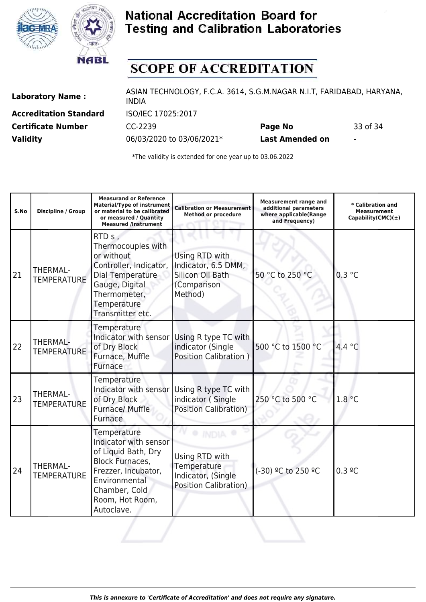



# **SCOPE OF ACCREDITATION**

**Accreditation Standard** ISO/IEC 17025:2017

Laboratory Name : ASIAN TECHNOLOGY, F.C.A. 3614, S.G.M.NAGAR N.I.T, FARIDABAD, HARYANA, INDIA **Certificate Number** CC-2239 **Page No** 33 of 34

**Validity** 06/03/2020 to 03/06/2021\* **Last Amended on** -

| S.No | <b>Discipline / Group</b>             | <b>Measurand or Reference</b><br><b>Material/Type of instrument</b><br>or material to be calibrated<br>or measured / Quantity<br><b>Measured /Instrument</b>                           | <b>Calibration or Measurement</b><br><b>Method or procedure</b>                     | <b>Measurement range and</b><br>additional parameters<br>where applicable(Range<br>and Frequency) | * Calibration and<br><b>Measurement</b><br>Capability(CMC) $(\pm)$ |
|------|---------------------------------------|----------------------------------------------------------------------------------------------------------------------------------------------------------------------------------------|-------------------------------------------------------------------------------------|---------------------------------------------------------------------------------------------------|--------------------------------------------------------------------|
| 21   | THERMAL-<br><b>TEMPERATURE</b>        | RTD s,<br>Thermocouples with<br>or without<br>Controller, Indicator,<br>Dial Temperature<br>Gauge, Digital<br>Thermometer,<br>Temperature<br>Transmitter etc.                          | Using RTD with<br>Indicator, 6.5 DMM,<br>Silicon Oil Bath<br>(Comparison<br>Method) | 50 °C to 250 °C                                                                                   | 0.3 °C                                                             |
| 22   | THERMAL-<br><b>TEMPERATURE</b>        | Temperature<br>Indicator with sensor<br>of Dry Block<br>Furnace, Muffle<br>Furnace                                                                                                     | Using R type TC with<br>indicator (Single<br><b>Position Calibration</b> )          | 500 °C to 1500 °C                                                                                 | 4.4 °C                                                             |
| 23   | <b>THERMAL-</b><br><b>TEMPERATURE</b> | Temperature<br>Indicator with sensor<br>of Dry Block<br>Furnace/ Muffle<br>Furnace                                                                                                     | Using R type TC with<br>indicator (Single<br><b>Position Calibration)</b>           | 250 °C to 500 °C                                                                                  | 1.8 °C                                                             |
| 24   | THERMAL-<br><b>TEMPERATURE</b>        | <b>Temperature</b><br>Indicator with sensor<br>of Liquid Bath, Dry<br><b>Block Furnaces,</b><br>Frezzer, Incubator,<br>Environmental<br>Chamber, Cold<br>Room, Hot Room,<br>Autoclave. | Using RTD with<br>Temperature<br>Indicator, (Single<br><b>Position Calibration)</b> | (-30) <sup>o</sup> C to 250 <sup>o</sup> C                                                        | $0.3 \degree C$                                                    |